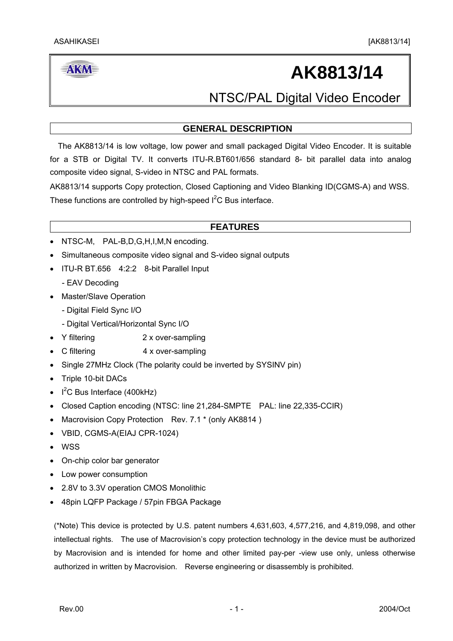### **AKM**

# **AK8813/14**

NTSC/PAL Digital Video Encoder

#### **GENERAL DESCRIPTION**

 The AK8813/14 is low voltage, low power and small packaged Digital Video Encoder. It is suitable for a STB or Digital TV. It converts ITU-R.BT601/656 standard 8- bit parallel data into analog composite video signal, S-video in NTSC and PAL formats.

AK8813/14 supports Copy protection, Closed Captioning and Video Blanking ID(CGMS-A) and WSS. These functions are controlled by high-speed  $I<sup>2</sup>C$  Bus interface.

#### **FEATURES**

- NTSC-M, PAL-B, D, G, H, I, M, N encoding.
- Simultaneous composite video signal and S-video signal outputs
- ITU-R BT.656 4:2:2 8-bit Parallel Input
	- EAV Decoding
- Master/Slave Operation
	- Digital Field Sync I/O
	- Digital Vertical/Horizontal Sync I/O
- Y filtering 2 x over-sampling
- C filtering 4 x over-sampling
- Single 27MHz Clock (The polarity could be inverted by SYSINV pin)
- Triple 10-bit DACs
- $I^2C$  Bus Interface (400kHz)
- Closed Caption encoding (NTSC: line 21,284-SMPTE PAL: line 22,335-CCIR)
- Macrovision Copy Protection Rev. 7.1 \* (only AK8814)
- VBID, CGMS-A(EIAJ CPR-1024)
- WSS
- On-chip color bar generator
- Low power consumption
- 2.8V to 3.3V operation CMOS Monolithic
- 48pin LQFP Package / 57pin FBGA Package

(\*Note) This device is protected by U.S. patent numbers 4,631,603, 4,577,216, and 4,819,098, and other intellectual rights. The use of Macrovision's copy protection technology in the device must be authorized by Macrovision and is intended for home and other limited pay-per -view use only, unless otherwise authorized in written by Macrovision. Reverse engineering or disassembly is prohibited.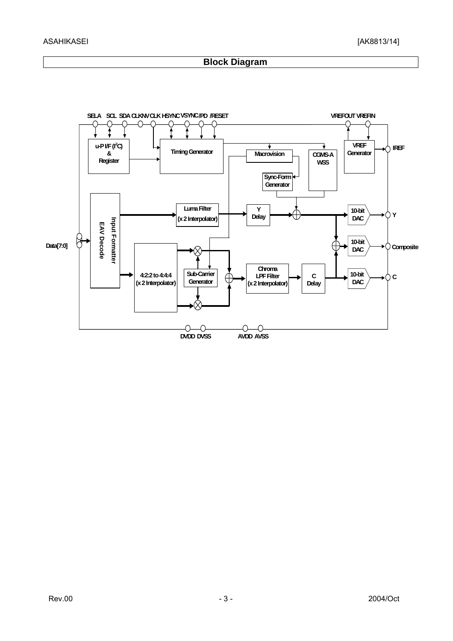#### **Block Diagram**

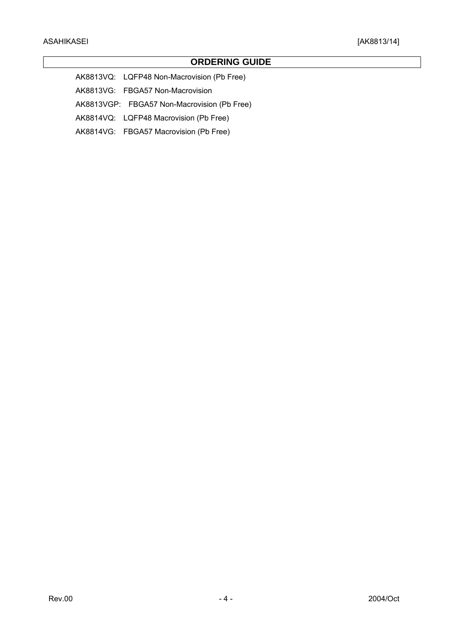#### **ORDERING GUIDE**

AK8813VQ: LQFP48 Non-Macrovision (Pb Free)

AK8813VG: FBGA57 Non-Macrovision

AK8813VGP: FBGA57 Non-Macrovision (Pb Free)

AK8814VQ: LQFP48 Macrovision (Pb Free)

AK8814VG: FBGA57 Macrovision (Pb Free)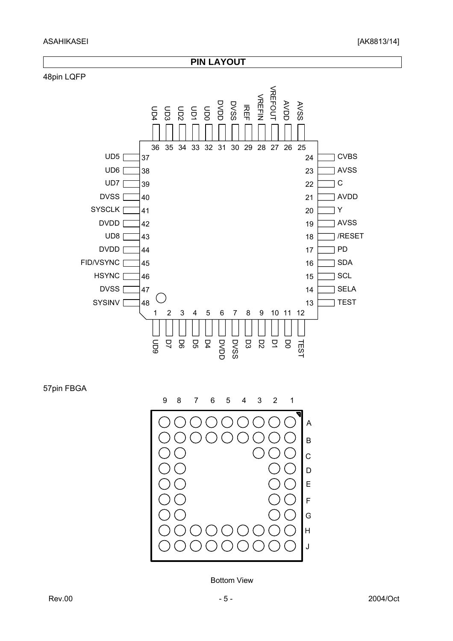

57pin FBGA



Bottom View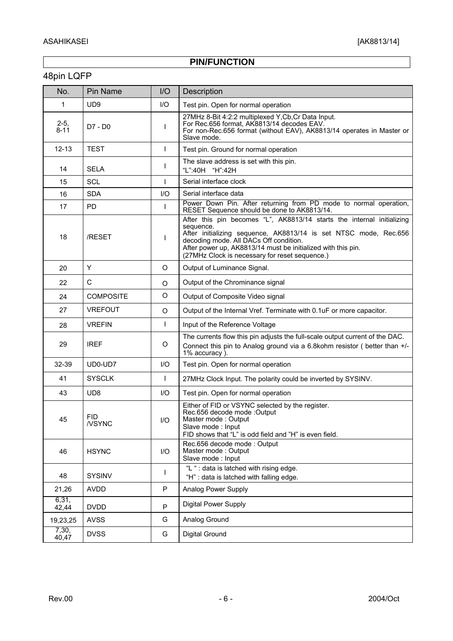### **PIN/FUNCTION**

### 48pin LQFP

| No.                | Pin Name            | I/O  | Description                                                                                                                                                                                                                                                                                                         |
|--------------------|---------------------|------|---------------------------------------------------------------------------------------------------------------------------------------------------------------------------------------------------------------------------------------------------------------------------------------------------------------------|
| 1                  | UD <sub>9</sub>     | I/O  | Test pin. Open for normal operation                                                                                                                                                                                                                                                                                 |
| $2-5,$<br>$8 - 11$ | D7 - D0             | ı    | 27MHz 8-Bit 4:2:2 multiplexed Y, Cb, Cr Data Input.<br>For Rec.656 format, AK8813/14 decodes EAV.<br>For non-Rec.656 format (without EAV), AK8813/14 operates in Master or<br>Slave mode.                                                                                                                           |
| $12 - 13$          | <b>TEST</b>         | T    | Test pin. Ground for normal operation                                                                                                                                                                                                                                                                               |
| 14                 | <b>SELA</b>         | T    | The slave address is set with this pin.<br>"L":40H "H":42H                                                                                                                                                                                                                                                          |
| 15                 | <b>SCL</b>          |      | Serial interface clock                                                                                                                                                                                                                                                                                              |
| 16                 | <b>SDA</b>          | I/O  | Serial interface data                                                                                                                                                                                                                                                                                               |
| 17                 | PD.                 | I.   | Power Down Pin. After returning from PD mode to normal operation,<br>RESET Sequence should be done to AK8813/14.                                                                                                                                                                                                    |
| 18                 | /RESET              | I    | After this pin becomes "L", AK8813/14 starts the internal initializing<br>sequence.<br>After initializing sequence, AK8813/14 is set NTSC mode, Rec.656<br>decoding mode. All DACs Off condition.<br>After power up, AK8813/14 must be initialized with this pin.<br>(27MHz Clock is necessary for reset sequence.) |
| 20                 | Y                   | O    | Output of Luminance Signal.                                                                                                                                                                                                                                                                                         |
| 22                 | C                   | O    | Output of the Chrominance signal                                                                                                                                                                                                                                                                                    |
| 24                 | <b>COMPOSITE</b>    | O    | Output of Composite Video signal                                                                                                                                                                                                                                                                                    |
| 27                 | <b>VREFOUT</b>      | O    | Output of the Internal Vref. Terminate with 0.1uF or more capacitor.                                                                                                                                                                                                                                                |
| 28                 | <b>VREFIN</b>       | T    | Input of the Reference Voltage                                                                                                                                                                                                                                                                                      |
| 29                 | <b>IREF</b>         | O    | The currents flow this pin adjusts the full-scale output current of the DAC.<br>Connect this pin to Analog ground via a 6.8kohm resistor (better than +/-<br>1% accuracy).                                                                                                                                          |
| 32-39              | UD0-UD7             | I/O  | Test pin. Open for normal operation                                                                                                                                                                                                                                                                                 |
| 41                 | <b>SYSCLK</b>       | I.   | 27MHz Clock Input. The polarity could be inverted by SYSINV.                                                                                                                                                                                                                                                        |
| 43                 | UD <sub>8</sub>     | I/O  | Test pin. Open for normal operation                                                                                                                                                                                                                                                                                 |
| 45                 | FID<br><b>NSYNC</b> | 1/O  | Either of FID or VSYNC selected by the register.<br>Rec.656 decode mode :Output<br>Master mode: Output<br>Slave mode: Input<br>FID shows that "L" is odd field and "H" is even field.                                                                                                                               |
| 46                 | <b>HSYNC</b>        | $UO$ | Rec.656 decode mode: Output<br>Master mode: Output<br>Slave mode: Input                                                                                                                                                                                                                                             |
| 48                 | <b>SYSINV</b>       | I.   | "L " : data is latched with rising edge.<br>"H" : data is latched with falling edge.                                                                                                                                                                                                                                |
| 21,26              | <b>AVDD</b>         | P    | Analog Power Supply                                                                                                                                                                                                                                                                                                 |
| 6,31,<br>42,44     | <b>DVDD</b>         | P    | <b>Digital Power Supply</b>                                                                                                                                                                                                                                                                                         |
| 19,23,25           | <b>AVSS</b>         | G    | Analog Ground                                                                                                                                                                                                                                                                                                       |
| 7,30,<br>40,47     | <b>DVSS</b>         | G    | <b>Digital Ground</b>                                                                                                                                                                                                                                                                                               |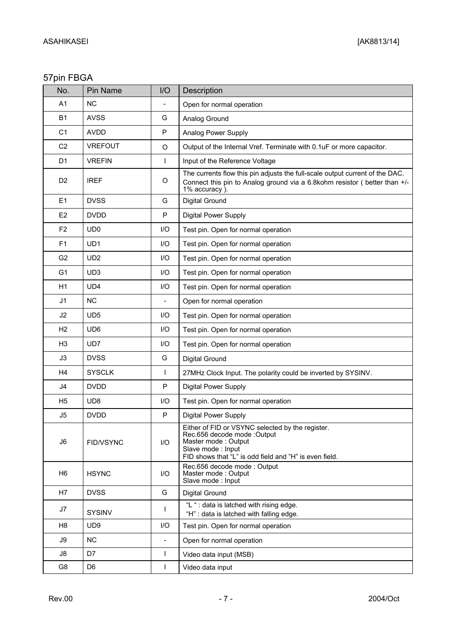### 57pin FBGA

| No.            | Pin Name        | I/O                      | Description                                                                                                                                                                           |  |  |  |
|----------------|-----------------|--------------------------|---------------------------------------------------------------------------------------------------------------------------------------------------------------------------------------|--|--|--|
| A <sub>1</sub> | <b>NC</b>       |                          | Open for normal operation                                                                                                                                                             |  |  |  |
| B1             | <b>AVSS</b>     | G                        | Analog Ground                                                                                                                                                                         |  |  |  |
| C <sub>1</sub> | <b>AVDD</b>     | P                        | Analog Power Supply                                                                                                                                                                   |  |  |  |
| C <sub>2</sub> | <b>VREFOUT</b>  | $\circ$                  | Output of the Internal Vref. Terminate with 0.1uF or more capacitor.                                                                                                                  |  |  |  |
| D <sub>1</sub> | <b>VREFIN</b>   | L                        | Input of the Reference Voltage                                                                                                                                                        |  |  |  |
| D <sub>2</sub> | <b>IREF</b>     | O                        | The currents flow this pin adjusts the full-scale output current of the DAC.<br>Connect this pin to Analog ground via a 6.8kohm resistor (better than +/-<br>1% accuracy)             |  |  |  |
| E <sub>1</sub> | <b>DVSS</b>     | G                        | <b>Digital Ground</b>                                                                                                                                                                 |  |  |  |
| E <sub>2</sub> | <b>DVDD</b>     | P                        | <b>Digital Power Supply</b>                                                                                                                                                           |  |  |  |
| F <sub>2</sub> | UD <sub>0</sub> | $II$                     | Test pin. Open for normal operation                                                                                                                                                   |  |  |  |
| F1             | UD <sub>1</sub> | $II$                     | Test pin. Open for normal operation                                                                                                                                                   |  |  |  |
| G <sub>2</sub> | UD <sub>2</sub> | $UO$                     | Test pin. Open for normal operation                                                                                                                                                   |  |  |  |
| G <sub>1</sub> | UD <sub>3</sub> | I/O                      | Test pin. Open for normal operation                                                                                                                                                   |  |  |  |
| H1             | UD4             | I/O                      | Test pin. Open for normal operation                                                                                                                                                   |  |  |  |
| J1             | <b>NC</b>       |                          | Open for normal operation                                                                                                                                                             |  |  |  |
| J2             | UD <sub>5</sub> | $II$                     | Test pin. Open for normal operation                                                                                                                                                   |  |  |  |
| H <sub>2</sub> | UD <sub>6</sub> | I/O                      | Test pin. Open for normal operation                                                                                                                                                   |  |  |  |
| H <sub>3</sub> | UD7             | $II$                     | Test pin. Open for normal operation                                                                                                                                                   |  |  |  |
| J3             | <b>DVSS</b>     | G                        | Digital Ground                                                                                                                                                                        |  |  |  |
| H4             | <b>SYSCLK</b>   |                          | 27MHz Clock Input. The polarity could be inverted by SYSINV.                                                                                                                          |  |  |  |
| J4             | <b>DVDD</b>     | P                        | <b>Digital Power Supply</b>                                                                                                                                                           |  |  |  |
| H <sub>5</sub> | UD <sub>8</sub> | I/O                      | Test pin. Open for normal operation                                                                                                                                                   |  |  |  |
| J5             | <b>DVDD</b>     | P                        | Digital Power Supply                                                                                                                                                                  |  |  |  |
| J <sub>6</sub> | FID/VSYNC       | $UO$                     | Either of FID or VSYNC selected by the register.<br>Rec.656 decode mode :Output<br>Master mode: Output<br>Slave mode: Input<br>FID shows that "L" is odd field and "H" is even field. |  |  |  |
| H <sub>6</sub> | <b>HSYNC</b>    | $UO$                     | Rec.656 decode mode: Output<br>Master mode: Output<br>Slave mode : Input                                                                                                              |  |  |  |
| H7             | <b>DVSS</b>     | G                        | Digital Ground                                                                                                                                                                        |  |  |  |
| J7             | <b>SYSINV</b>   | L                        | "L " : data is latched with rising edge.<br>"H" : data is latched with falling edge.                                                                                                  |  |  |  |
| H <sub>8</sub> | UD <sub>9</sub> | $UO$                     | Test pin. Open for normal operation                                                                                                                                                   |  |  |  |
| J9             | <b>NC</b>       | $\overline{\phantom{a}}$ | Open for normal operation                                                                                                                                                             |  |  |  |
| J8             | D7              | L                        | Video data input (MSB)                                                                                                                                                                |  |  |  |
| G8             | D <sub>6</sub>  | L                        | Video data input                                                                                                                                                                      |  |  |  |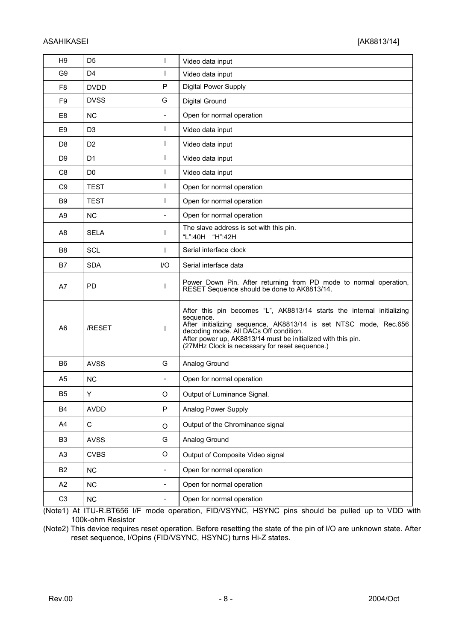| H <sub>9</sub> | D <sub>5</sub> | ı                        | Video data input                                                                                                                                                                                                                                                                                                 |  |  |  |
|----------------|----------------|--------------------------|------------------------------------------------------------------------------------------------------------------------------------------------------------------------------------------------------------------------------------------------------------------------------------------------------------------|--|--|--|
| G9             | D <sub>4</sub> | I.                       | Video data input                                                                                                                                                                                                                                                                                                 |  |  |  |
| F8             | <b>DVDD</b>    | P                        | <b>Digital Power Supply</b>                                                                                                                                                                                                                                                                                      |  |  |  |
| F <sub>9</sub> | <b>DVSS</b>    | G                        | Digital Ground                                                                                                                                                                                                                                                                                                   |  |  |  |
| E <sub>8</sub> | <b>NC</b>      | $\blacksquare$           | Open for normal operation                                                                                                                                                                                                                                                                                        |  |  |  |
| E <sub>9</sub> | D <sub>3</sub> | I.                       | Video data input                                                                                                                                                                                                                                                                                                 |  |  |  |
| D <sub>8</sub> | D <sub>2</sub> | T                        | Video data input                                                                                                                                                                                                                                                                                                 |  |  |  |
| D <sub>9</sub> | D <sub>1</sub> | $\mathbf{I}$             | Video data input                                                                                                                                                                                                                                                                                                 |  |  |  |
| C <sub>8</sub> | D <sub>0</sub> | $\mathbf{I}$             | Video data input                                                                                                                                                                                                                                                                                                 |  |  |  |
| C <sub>9</sub> | <b>TEST</b>    | $\mathbf{I}$             | Open for normal operation                                                                                                                                                                                                                                                                                        |  |  |  |
| B9             | <b>TEST</b>    | $\mathbf{I}$             | Open for normal operation                                                                                                                                                                                                                                                                                        |  |  |  |
| A <sub>9</sub> | <b>NC</b>      | $\overline{a}$           | Open for normal operation                                                                                                                                                                                                                                                                                        |  |  |  |
| A8             | <b>SELA</b>    | I.                       | The slave address is set with this pin.<br>"L":40H<br>"H":42H                                                                                                                                                                                                                                                    |  |  |  |
| B <sub>8</sub> | SCL            | $\mathbf{I}$             | Serial interface clock                                                                                                                                                                                                                                                                                           |  |  |  |
| B7             | <b>SDA</b>     | 1/O                      | Serial interface data                                                                                                                                                                                                                                                                                            |  |  |  |
| A7             | <b>PD</b>      | I.                       | Power Down Pin. After returning from PD mode to normal operation,<br>RESET Sequence should be done to AK8813/14.                                                                                                                                                                                                 |  |  |  |
| A <sub>6</sub> | /RESET         | L                        | After this pin becomes "L", AK8813/14 starts the internal initializing<br>sequence.<br>After initializing sequence, AK8813/14 is set NTSC mode, Rec.656 decoding mode. All DACs Off condition.<br>After power up, AK8813/14 must be initialized with this pin.<br>(27MHz Clock is necessary for reset sequence.) |  |  |  |
| B <sub>6</sub> | <b>AVSS</b>    | G                        | Analog Ground                                                                                                                                                                                                                                                                                                    |  |  |  |
| A5             | <b>NC</b>      |                          | Open for normal operation                                                                                                                                                                                                                                                                                        |  |  |  |
| B5             | Υ              | O                        | Output of Luminance Signal.                                                                                                                                                                                                                                                                                      |  |  |  |
| B4             | <b>AVDD</b>    | P                        | Analog Power Supply                                                                                                                                                                                                                                                                                              |  |  |  |
| A4             | $\mathbf C$    | O                        | Output of the Chrominance signal                                                                                                                                                                                                                                                                                 |  |  |  |
| B <sub>3</sub> | <b>AVSS</b>    | G                        | Analog Ground                                                                                                                                                                                                                                                                                                    |  |  |  |
| A <sub>3</sub> | <b>CVBS</b>    | O                        | Output of Composite Video signal                                                                                                                                                                                                                                                                                 |  |  |  |
| B <sub>2</sub> | NC             |                          | Open for normal operation                                                                                                                                                                                                                                                                                        |  |  |  |
| A <sub>2</sub> | NC             | $\overline{\phantom{a}}$ | Open for normal operation                                                                                                                                                                                                                                                                                        |  |  |  |
| C <sub>3</sub> | NC             | $\overline{\phantom{a}}$ | Open for normal operation                                                                                                                                                                                                                                                                                        |  |  |  |

(Note1) At ITU-R.BT656 I/F mode operation, FID/VSYNC, HSYNC pins should be pulled up to VDD with 100k-ohm Resistor

(Note2) This device requires reset operation. Before resetting the state of the pin of I/O are unknown state. After reset sequence, I/Opins (FID/VSYNC, HSYNC) turns Hi-Z states.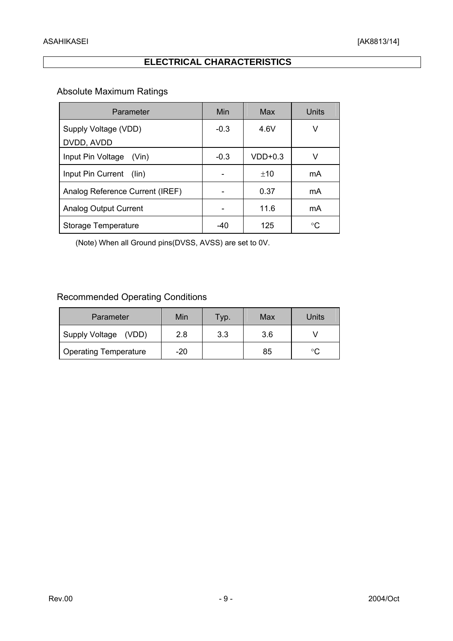### **ELECTRICAL CHARACTERISTICS**

### Absolute Maximum Ratings

| Parameter                           | Min    | Max       | Units |
|-------------------------------------|--------|-----------|-------|
| Supply Voltage (VDD)<br>DVDD, AVDD  | $-0.3$ | 4.6V      | V     |
| Input Pin Voltage<br>(Vin)          | $-0.3$ | $VDD+0.3$ | V     |
| Input Pin Current<br>$(\text{lin})$ |        | ±10       | mA    |
| Analog Reference Current (IREF)     |        | 0.37      | mA    |
| Analog Output Current               |        | 11.6      | mA    |
| Storage Temperature                 | -40    | 125       | °C    |

(Note) When all Ground pins(DVSS, AVSS) are set to 0V.

### Recommended Operating Conditions

| Parameter                    | Min | Typ. | Max | Units |
|------------------------------|-----|------|-----|-------|
| Supply Voltage (VDD)         | 2.8 | 3.3  | 3.6 |       |
| <b>Operating Temperature</b> | -20 |      | 85  | °C    |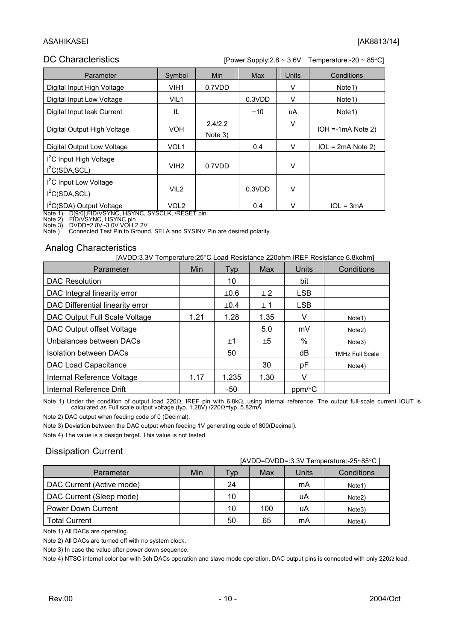#### ASAHIKASEI [AK8813/14]

#### DC Characteristics [Power Supply:2.8 ~ 3.6V Temperature:-20 ~ 85°C]

| Parameter                                                         | Symbol           | Min                | <b>Max</b> | <b>Units</b> | Conditions           |
|-------------------------------------------------------------------|------------------|--------------------|------------|--------------|----------------------|
| Digital Input High Voltage                                        | VIH <sub>1</sub> | 0.7VDD             |            | v            | Note <sub>1</sub> )  |
| Digital Input Low Voltage                                         | VIL <sub>1</sub> |                    | 0.3VDD     | ν            | Note <sub>1</sub> )  |
| Digital Input leak Current                                        | IL               |                    | ±10        | uA           | Note <sub>1</sub> )  |
| Digital Output High Voltage                                       | <b>VOH</b>       | 2.4/2.2<br>Note 3) |            | V            | $IOH = -1mA Note 2)$ |
| Digital Output Low Voltage                                        | VOL <sub>1</sub> |                    | 0.4        | V            | $IOL = 2mA Note 2)$  |
| I <sup>2</sup> C Input High Voltage<br>I <sup>2</sup> C(SDA, SCL) | VIH <sub>2</sub> | 0.7VDD             |            | V            |                      |
| I <sup>2</sup> C Input Low Voltage<br>I <sup>2</sup> C(SDA, SCL)  | VIL <sub>2</sub> |                    | 0.3VDD     | V            |                      |
| I <sup>2</sup> C(SDA) Output Voltage                              | VOL <sub>2</sub> |                    | 0.4        | $\vee$       | $1OL = 3mA$          |

Note 1) D[9:0],FID/VSYNC, HSYNC, SYSCLK, /RESET pin

Note 2) FID/VSYNC, HSYNC pin<br>Note 3) DVDD=2.8V~3.0V VOH 2.2V<br>Note ) Connected Test Pin to Ground, SELA and SYSINV Pin are desired polarity.

#### Analog Characteristics

|  | [AVDD:3.3V Temperature:25°C Load Resistance 220ohm IREF Resistance 6.8kohm] |  |  |
|--|-----------------------------------------------------------------------------|--|--|
|  |                                                                             |  |  |

| Parameter                        | <b>Min</b> | <b>Typ</b> | Max     | <b>Units</b> | Conditions          |
|----------------------------------|------------|------------|---------|--------------|---------------------|
| <b>DAC Resolution</b>            |            | 10         |         | bit          |                     |
| DAC Integral linearity error     |            | $\pm 0.6$  | $\pm 2$ | <b>LSB</b>   |                     |
| DAC Differential linearity error |            | $\pm 0.4$  | ± 1     | <b>LSB</b>   |                     |
| DAC Output Full Scale Voltage    | 1.21       | 1.28       | 1.35    | v            | Note <sub>1</sub> ) |
| DAC Output offset Voltage        |            |            | 5.0     | mV           | Note <sub>2</sub> ) |
| Unbalances between DACs          |            | ±1         | $\pm 5$ | %            | Note3)              |
| <b>Isolation between DACs</b>    |            | 50         |         | dB           | 1MHz Full Scale     |
| DAC Load Capacitance             |            |            | 30      | рF           | Note4)              |
| Internal Reference Voltage       | 1.17       | 1.235      | 1.30    | v            |                     |
| Internal Reference Drift         |            | -50        |         | ppm/°C       |                     |

Note 1) Under the condition of output load 220Ω, IREF pin with 6.8kΩ, using internal reference. The output full-scale current IOUT is<br>calculated as Full scale output voltage (typ. 1.28V) /220Ω=typ. 5.82mA.

Note 2) DAC output when feeding code of 0 (Decimal).

Note 3) Deviation between the DAC output when feeding 1V generating code of 800(Decimal).

Note 4) The value is a design target. This value is not tested.

#### Dissipation Current

| [AVDD=DVDD=:3.3V Temperature:-25~85°C ] |     |     |     |       |                     |
|-----------------------------------------|-----|-----|-----|-------|---------------------|
| Parameter                               | Min | Tvp | Max | Units | Conditions          |
| DAC Current (Active mode)               |     | 24  |     | mA    | Note <sub>1</sub> ) |
| DAC Current (Sleep mode)                |     | 10  |     | uA    | Note2)              |
| <b>Power Down Current</b>               |     | 10  | 100 | uA    | Note3)              |
| <b>Total Current</b>                    |     | 50  | 65  | mA    | Note4)              |

Note 1) All DACs are operating.

Note 2) All DACs are turned off with no system clock.

Note 3) In case the value after power down sequence.

Note 4) NTSC internal color bar with 3ch DACs operation and slave mode operation. DAC output pins is connected with only 220Ω load.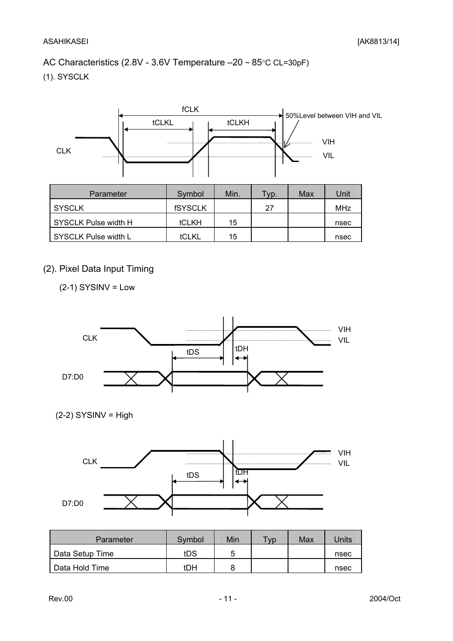### AC Characteristics (2.8V - 3.6V Temperature –20 ~ 85°C CL=30pF)

(1). SYSCLK



### (2). Pixel Data Input Timing

 $(2-1)$  SYSINV = Low



 $(2-2)$  SYSINV = High



| Parameter       | Symbol | Min | $T_V p$ | Max | Units |
|-----------------|--------|-----|---------|-----|-------|
| Data Setup Time | tDS    | ∽   |         |     | nsec  |
| Data Hold Time  | tDH    |     |         |     | nsec  |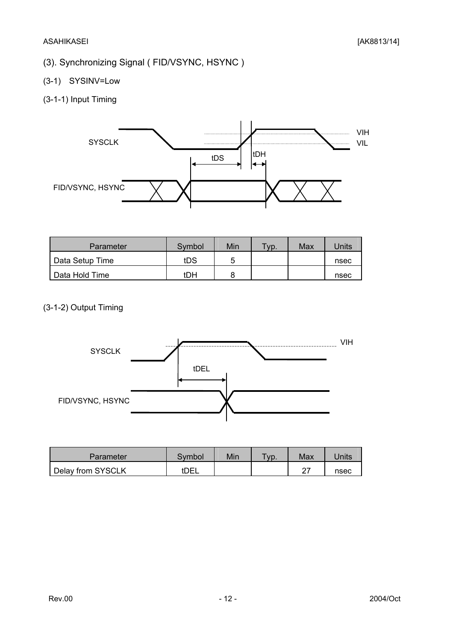### (3). Synchronizing Signal ( FID/VSYNC, HSYNC )

(3-1) SYSINV=Low

### (3-1-1) Input Timing



| Parameter       | Symbol | Min | $TVP$ . | Max | Units |
|-----------------|--------|-----|---------|-----|-------|
| Data Setup Time | tDS    | 5   |         |     | nsec  |
| Data Hold Time  | tDH    |     |         |     | nsec  |

### (3-1-2) Output Timing



| <b>Parameter</b>  | <b>Symbol</b>    | Min | $T_{VD}$ . | Max    | Jnits |
|-------------------|------------------|-----|------------|--------|-------|
| Delay from SYSCLK | t <sub>DEL</sub> |     |            | $\sim$ | nsec  |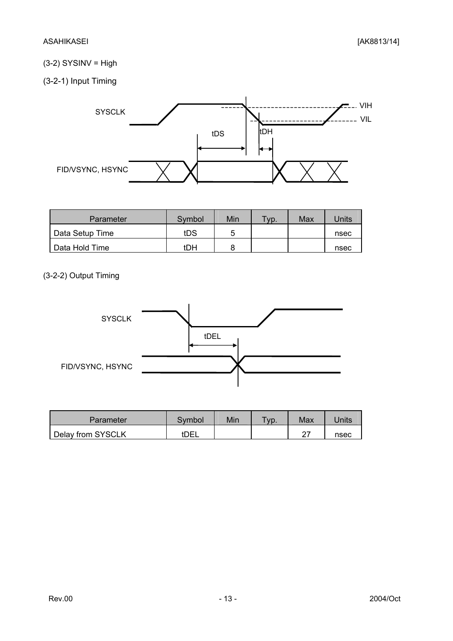### $(3-2)$  SYSINV = High

(3-2-1) Input Timing



| Parameter       | Symbol | Min | $TVP$ . | Max | Jnits |
|-----------------|--------|-----|---------|-----|-------|
| Data Setup Time | tDS    | г   |         |     | nsec  |
| Data Hold Time  | tDH    |     |         |     | nsec  |

### (3-2-2) Output Timing



| Parameter         | Svmbol | Min | $TVP$ . | Max | Jnits |
|-------------------|--------|-----|---------|-----|-------|
| Delay from SYSCLK | tDEL   |     |         |     | nsec  |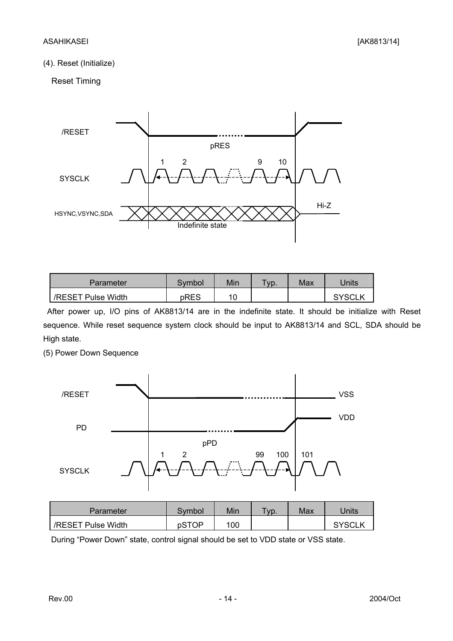#### (4). Reset (Initialize)

#### Reset Timing



| Parameter          | Svmbol | Min | $TVP$ . | Max | Jnits         |
|--------------------|--------|-----|---------|-----|---------------|
| /RESET Pulse Width | pRES   | 10  |         |     | <b>SYSCLK</b> |

 After power up, I/O pins of AK8813/14 are in the indefinite state. It should be initialize with Reset sequence. While reset sequence system clock should be input to AK8813/14 and SCL, SDA should be High state.

(5) Power Down Sequence



| Parameter          | Svmbol | Min | $\tau_{VD}$ . | Max | Units         |
|--------------------|--------|-----|---------------|-----|---------------|
| /RESET Pulse Width | pSTOP  | 100 |               |     | <b>SYSCLK</b> |

During "Power Down" state, control signal should be set to VDD state or VSS state.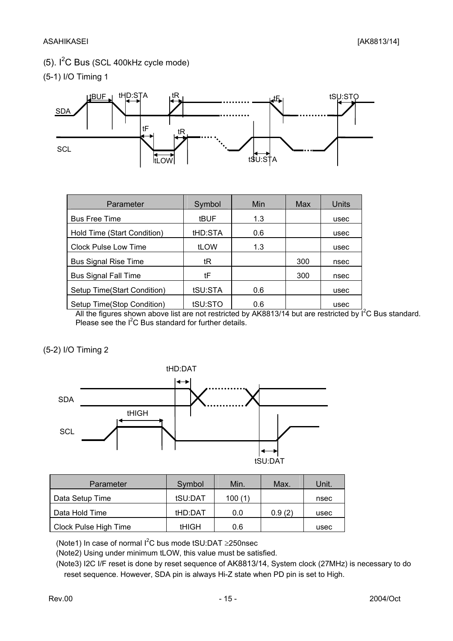### $(5)$ . I<sup>2</sup>C Bus (SCL 400kHz cycle mode)

(5-1) I/O Timing 1



| Parameter                   | Symbol      | Min | Max | Units |
|-----------------------------|-------------|-----|-----|-------|
| <b>Bus Free Time</b>        | <b>tBUF</b> | 1.3 |     | usec  |
| Hold Time (Start Condition) | tHD:STA     | 0.6 |     | usec  |
| <b>Clock Pulse Low Time</b> | tLOW        | 1.3 |     | usec  |
| <b>Bus Signal Rise Time</b> | tR          |     | 300 | nsec  |
| <b>Bus Signal Fall Time</b> | tF          |     | 300 | nsec  |
| Setup Time(Start Condition) | tSU:STA     | 0.6 |     | usec  |
| Setup Time(Stop Condition)  | tSU:STO     | 0.6 |     | usec  |

All the figures shown above list are not restricted by AK8813/14 but are restricted by I<sup>2</sup>C Bus standard. Please see the  $I^2C$  Bus standard for further details.

(5-2) I/O Timing 2



| Parameter             | Symbol       | Min.   | Max.   | Unit. |
|-----------------------|--------------|--------|--------|-------|
| Data Setup Time       | tSU:DAT      | 100(1) |        | nsec  |
| Data Hold Time        | tHD:DAT      | 0.0    | 0.9(2) | usec  |
| Clock Pulse High Time | <b>tHIGH</b> | 0.6    |        | usec  |

(Note1) In case of normal  $I^2C$  bus mode tSU:DAT  $\geq$ 250nsec

(Note2) Using under minimum tLOW, this value must be satisfied.

 (Note3) I2C I/F reset is done by reset sequence of AK8813/14, System clock (27MHz) is necessary to do reset sequence. However, SDA pin is always Hi-Z state when PD pin is set to High.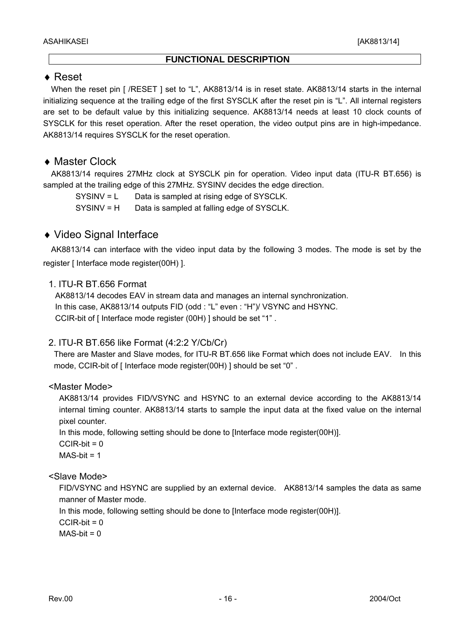#### **FUNCTIONAL DESCRIPTION**

### ♦ Reset

When the reset pin [ /RESET ] set to "L", AK8813/14 is in reset state. AK8813/14 starts in the internal initializing sequence at the trailing edge of the first SYSCLK after the reset pin is "L". All internal registers are set to be default value by this initializing sequence. AK8813/14 needs at least 10 clock counts of SYSCLK for this reset operation. After the reset operation, the video output pins are in high-impedance. AK8813/14 requires SYSCLK for the reset operation.

### ♦ Master Clock

 AK8813/14 requires 27MHz clock at SYSCLK pin for operation. Video input data (ITU-R BT.656) is sampled at the trailing edge of this 27MHz. SYSINV decides the edge direction.

SYSINV = L Data is sampled at rising edge of SYSCLK.

SYSINV = H Data is sampled at falling edge of SYSCLK.

### ♦ Video Signal Interface

 AK8813/14 can interface with the video input data by the following 3 modes. The mode is set by the register [ Interface mode register(00H) ].

#### 1. ITU-R BT.656 Format

AK8813/14 decodes EAV in stream data and manages an internal synchronization. In this case, AK8813/14 outputs FID (odd : "L" even : "H")/ VSYNC and HSYNC. CCIR-bit of [ Interface mode register (00H) ] should be set "1" .

#### 2. ITU-R BT.656 like Format (4:2:2 Y/Cb/Cr)

There are Master and Slave modes, for ITU-R BT.656 like Format which does not include EAV. In this mode, CCIR-bit of [ Interface mode register(00H) ] should be set "0".

#### <Master Mode>

AK8813/14 provides FID/VSYNC and HSYNC to an external device according to the AK8813/14 internal timing counter. AK8813/14 starts to sample the input data at the fixed value on the internal pixel counter.

In this mode, following setting should be done to [Interface mode register(00H)].

 $CCIR-bit = 0$ 

 $MAS-bit = 1$ 

#### <Slave Mode>

FID/VSYNC and HSYNC are supplied by an external device. AK8813/14 samples the data as same manner of Master mode.

In this mode, following setting should be done to [Interface mode register(00H)].

 $CCIR-bit = 0$ 

 $MAS-bit = 0$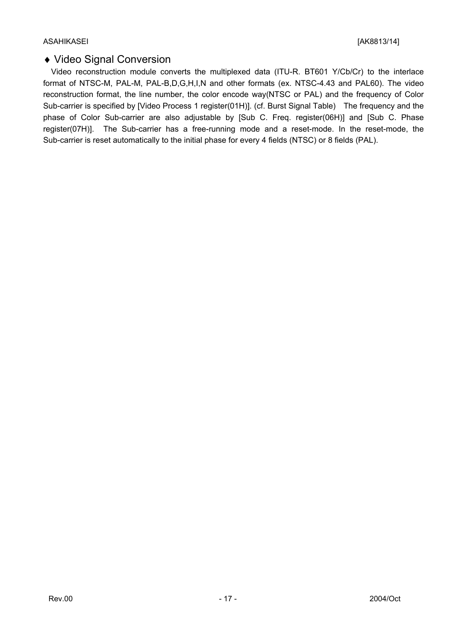### ♦ Video Signal Conversion

 Video reconstruction module converts the multiplexed data (ITU-R. BT601 Y/Cb/Cr) to the interlace format of NTSC-M, PAL-M, PAL-B,D,G,H,I,N and other formats (ex. NTSC-4.43 and PAL60). The video reconstruction format, the line number, the color encode way(NTSC or PAL) and the frequency of Color Sub-carrier is specified by [Video Process 1 register(01H)]. (cf. Burst Signal Table) The frequency and the phase of Color Sub-carrier are also adjustable by [Sub C. Freq. register(06H)] and [Sub C. Phase register(07H)]. The Sub-carrier has a free-running mode and a reset-mode. In the reset-mode, the Sub-carrier is reset automatically to the initial phase for every 4 fields (NTSC) or 8 fields (PAL).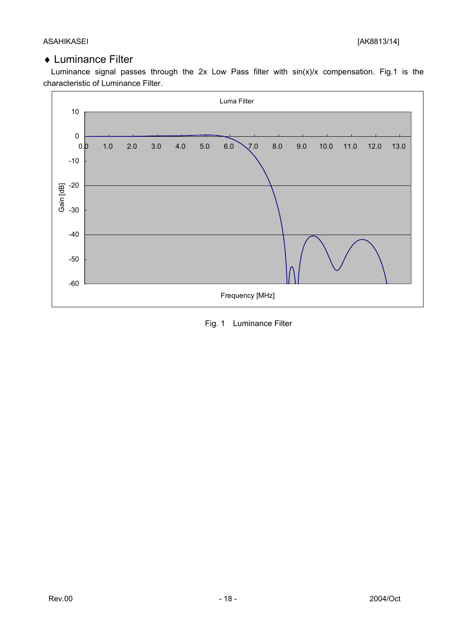### ♦ Luminance Filter

Luminance signal passes through the 2x Low Pass filter with  $sin(x)/x$  compensation. Fig.1 is the characteristic of Luminance Filter.



Fig. 1 Luminance Filter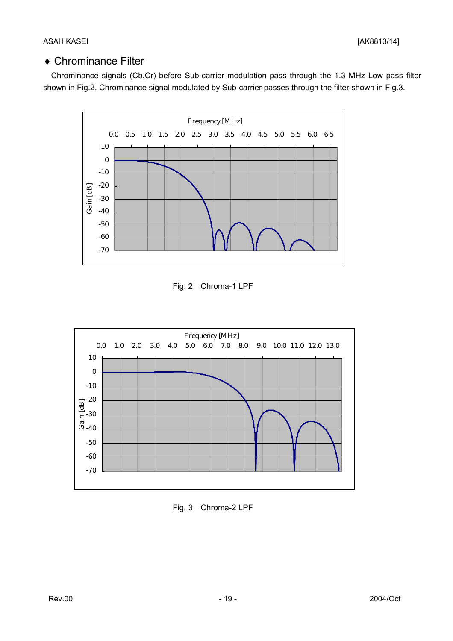### ♦ Chrominance Filter

 Chrominance signals (Cb,Cr) before Sub-carrier modulation pass through the 1.3 MHz Low pass filter shown in Fig.2. Chrominance signal modulated by Sub-carrier passes through the filter shown in Fig.3.



Fig. 2 Chroma-1 LPF



Fig. 3 Chroma-2 LPF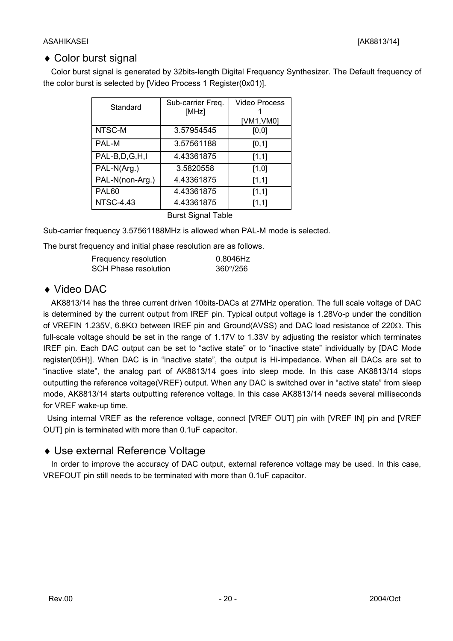### ♦ Color burst signal

 Color burst signal is generated by 32bits-length Digital Frequency Synthesizer. The Default frequency of the color burst is selected by [Video Process 1 Register(0x01)].

| Standard         | Sub-carrier Freq.<br>[MHz] | <b>Video Process</b> |  |  |
|------------------|----------------------------|----------------------|--|--|
|                  |                            | [VM1, VM0]           |  |  |
| NTSC-M           | 3.57954545                 | [0,0]                |  |  |
| <b>PAL-M</b>     | 3.57561188                 | [0, 1]               |  |  |
| PAL-B,D,G,H,I    | 4.43361875                 | [1,1]                |  |  |
| PAL-N(Arg.)      | 3.5820558                  | [1,0]                |  |  |
| PAL-N(non-Arg.)  | 4.43361875                 | [1,1]                |  |  |
| PAL60            | 4.43361875                 | [1,1]                |  |  |
| <b>NTSC-4.43</b> | 4.43361875                 | [1,1]                |  |  |
|                  | Durot Cianol Toblo         |                      |  |  |

Burst Signal Table

Sub-carrier frequency 3.57561188MHz is allowed when PAL-M mode is selected.

The burst frequency and initial phase resolution are as follows.

| Frequency resolution        | 0.8046Hz          |
|-----------------------------|-------------------|
| <b>SCH Phase resolution</b> | $360^{\circ}/256$ |

### ♦ Video DAC

 AK8813/14 has the three current driven 10bits-DACs at 27MHz operation. The full scale voltage of DAC is determined by the current output from IREF pin. Typical output voltage is 1.28Vo-p under the condition of VREFIN 1.235V, 6.8KΩ between IREF pin and Ground(AVSS) and DAC load resistance of 220Ω. This full-scale voltage should be set in the range of 1.17V to 1.33V by adjusting the resistor which terminates IREF pin. Each DAC output can be set to "active state" or to "inactive state" individually by [DAC Mode register(05H)]. When DAC is in "inactive state", the output is Hi-impedance. When all DACs are set to "inactive state", the analog part of AK8813/14 goes into sleep mode. In this case AK8813/14 stops outputting the reference voltage(VREF) output. When any DAC is switched over in "active state" from sleep mode, AK8813/14 starts outputting reference voltage. In this case AK8813/14 needs several milliseconds for VREF wake-up time.

 Using internal VREF as the reference voltage, connect [VREF OUT] pin with [VREF IN] pin and [VREF OUT] pin is terminated with more than 0.1uF capacitor.

### ♦ Use external Reference Voltage

 In order to improve the accuracy of DAC output, external reference voltage may be used. In this case, VREFOUT pin still needs to be terminated with more than 0.1uF capacitor.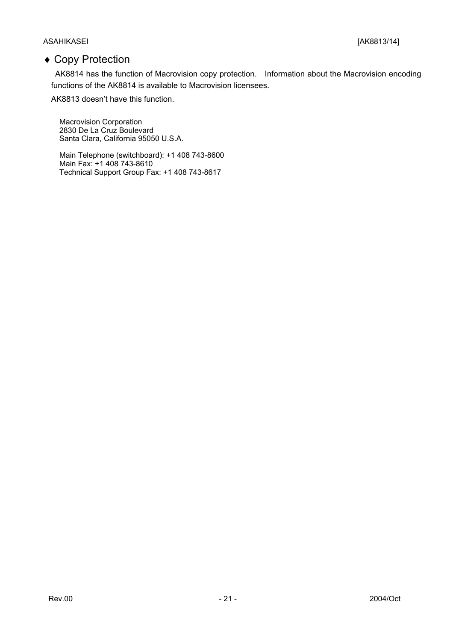#### ASAHIKASEI [AK8813/14]

### ♦ Copy Protection

 AK8814 has the function of Macrovision copy protection. Information about the Macrovision encoding functions of the AK8814 is available to Macrovision licensees.

AK8813 doesn't have this function.

Macrovision Corporation 2830 De La Cruz Boulevard Santa Clara, California 95050 U.S.A.

Main Telephone (switchboard): +1 408 743-8600 Main Fax: +1 408 743-8610 Technical Support Group Fax: +1 408 743-8617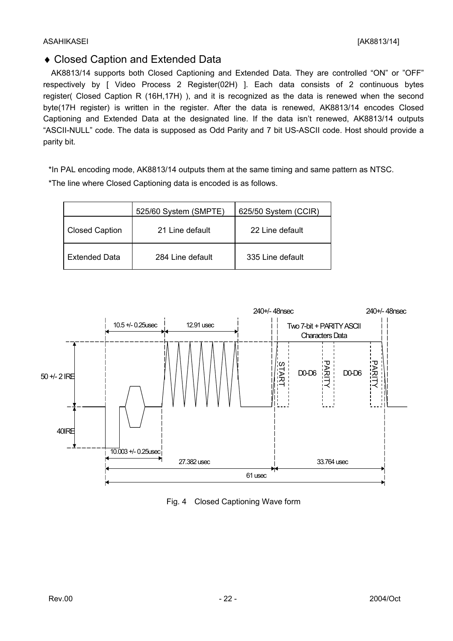### ♦ Closed Caption and Extended Data

 AK8813/14 supports both Closed Captioning and Extended Data. They are controlled "ON" or "OFF" respectively by [ Video Process 2 Register(02H) ]. Each data consists of 2 continuous bytes register( Closed Caption R (16H,17H) ), and it is recognized as the data is renewed when the second byte(17H register) is written in the register. After the data is renewed, AK8813/14 encodes Closed Captioning and Extended Data at the designated line. If the data isn't renewed, AK8813/14 outputs "ASCII-NULL" code. The data is supposed as Odd Parity and 7 bit US-ASCII code. Host should provide a parity bit.

\*In PAL encoding mode, AK8813/14 outputs them at the same timing and same pattern as NTSC.

\*The line where Closed Captioning data is encoded is as follows.

|                       | 525/60 System (SMPTE) | 625/50 System (CCIR) |
|-----------------------|-----------------------|----------------------|
| <b>Closed Caption</b> | 21 Line default       | 22 Line default      |
| <b>Extended Data</b>  | 284 Line default      | 335 Line default     |



Fig. 4 Closed Captioning Wave form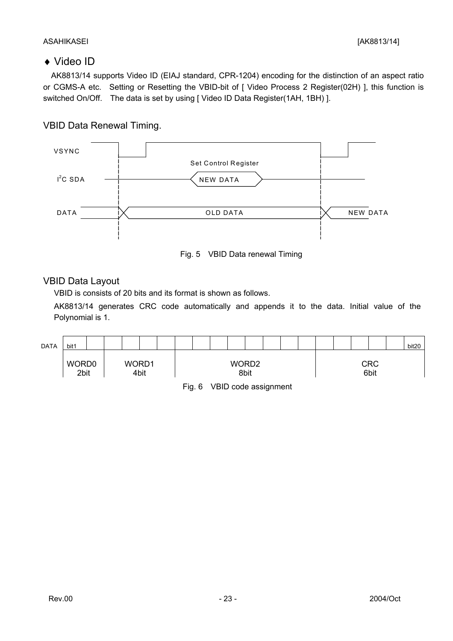#### ASAHIKASEI [AK8813/14]

### ♦ Video ID

 AK8813/14 supports Video ID (EIAJ standard, CPR-1204) encoding for the distinction of an aspect ratio or CGMS-A etc. Setting or Resetting the VBID-bit of [ Video Process 2 Register(02H) ], this function is switched On/Off. The data is set by using [ Video ID Data Register(1AH, 1BH) ].

### VBID Data Renewal Timing.





### VBID Data Layout

VBID is consists of 20 bits and its format is shown as follows.

AK8813/14 generates CRC code automatically and appends it to the data. Initial value of the Polynomial is 1.

| <b>DATA</b> | bit1          |  |               |  |  |                           |  |  |  |                    | bit20 |
|-------------|---------------|--|---------------|--|--|---------------------------|--|--|--|--------------------|-------|
|             | WORD0<br>2bit |  | WORD1<br>4bit |  |  | WORD <sub>2</sub><br>8bit |  |  |  | <b>CRC</b><br>6bit |       |
|             |               |  |               |  |  |                           |  |  |  |                    |       |

Fig. 6 VBID code assignment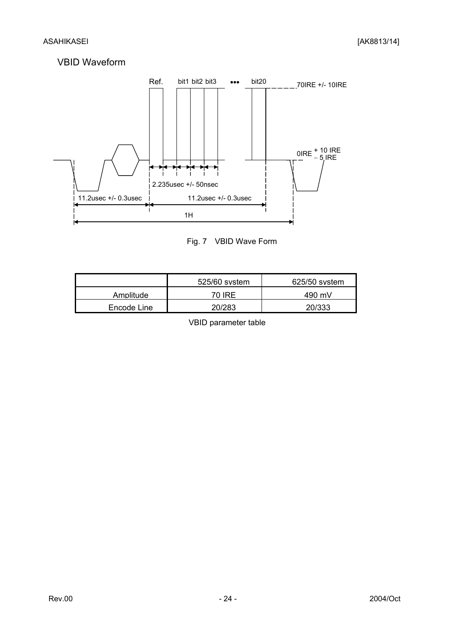### VBID Waveform



Fig. 7 VBID Wave Form

|             | 525/60 system | 625/50 system |
|-------------|---------------|---------------|
| Amplitude   | 70 IRE        | 490 mV        |
| Encode Line | 20/283        | 20/333        |

VBID parameter table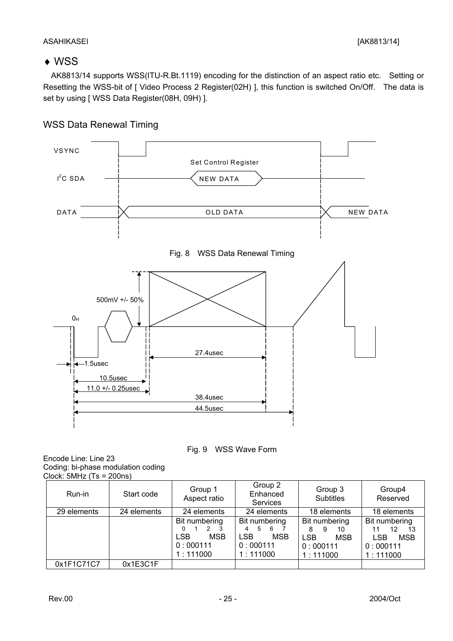#### ASAHIKASEI [AK8813/14]

### ♦ WSS

 AK8813/14 supports WSS(ITU-R.Bt.1119) encoding for the distinction of an aspect ratio etc. Setting or Resetting the WSS-bit of [ Video Process 2 Register(02H) ], this function is switched On/Off. The data is set by using [ WSS Data Register(08H, 09H) ].



### WSS Data Renewal Timing



Encode Line: Line 23 Coding: bi-phase modulation coding Clock:  $5MHz$  (Ts = 200ns)

| Run-in      | Start code  | Group 1<br>Aspect ratio                                                               | Group 2<br>Group 3<br>Enhanced<br><b>Subtitles</b><br>Services                   |                                                                                   | Group4<br>Reserved                                                            |
|-------------|-------------|---------------------------------------------------------------------------------------|----------------------------------------------------------------------------------|-----------------------------------------------------------------------------------|-------------------------------------------------------------------------------|
| 29 elements | 24 elements | 24 elements                                                                           | 24 elements                                                                      | 18 elements                                                                       | 18 elements                                                                   |
|             |             | Bit numbering<br>$2 \quad 3$<br>0<br><b>LSB</b><br><b>MSB</b><br>0:000111<br>1:111000 | Bit numbering<br>5<br>6<br>4<br><b>LSB</b><br><b>MSB</b><br>0:000111<br>1:111000 | Bit numbering<br>8<br>10<br>9<br><b>LSB</b><br><b>MSB</b><br>0:000111<br>1:111000 | Bit numbering<br>12<br>13<br><b>LSB</b><br><b>MSB</b><br>0:000111<br>1:111000 |
| 0x1F1C71C7  | 0x1E3C1F    |                                                                                       |                                                                                  |                                                                                   |                                                                               |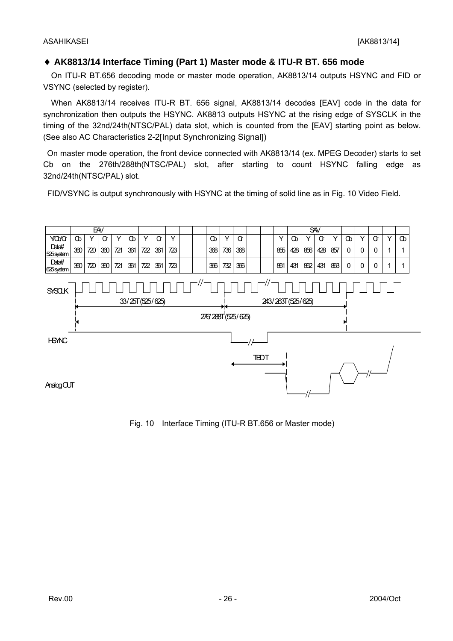### ♦ **AK8813/14 Interface Timing (Part 1) Master mode & ITU-R BT. 656 mode**

On ITU-R BT.656 decoding mode or master mode operation, AK8813/14 outputs HSYNC and FID or VSYNC (selected by register).

 When AK8813/14 receives ITU-R BT. 656 signal, AK8813/14 decodes [EAV] code in the data for synchronization then outputs the HSYNC. AK8813 outputs HSYNC at the rising edge of SYSCLK in the timing of the 32nd/24th(NTSC/PAL) data slot, which is counted from the [EAV] starting point as below. (See also AC Characteristics 2-2[Input Synchronizing Signal])

 On master mode operation, the front device connected with AK8813/14 (ex. MPEG Decoder) starts to set Cb on the 276th/288th(NTSC/PAL) slot, after starting to count HSYNC falling edge as 32nd/24th(NTSC/PAL) slot.

FID/VSYNC is output synchronously with HSYNC at the timing of solid line as in Fig. 10 Video Field.



Fig. 10 Interface Timing (ITU-R BT.656 or Master mode)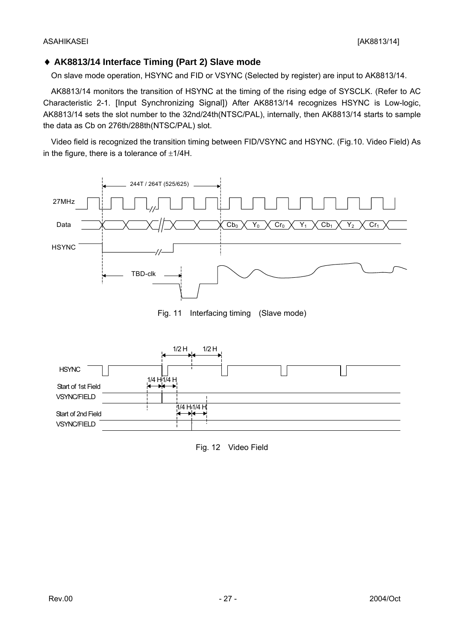#### ♦ **AK8813/14 Interface Timing (Part 2) Slave mode**

On slave mode operation, HSYNC and FID or VSYNC (Selected by register) are input to AK8813/14.

AK8813/14 monitors the transition of HSYNC at the timing of the rising edge of SYSCLK. (Refer to AC Characteristic 2-1. [Input Synchronizing Signal]) After AK8813/14 recognizes HSYNC is Low-logic, AK8813/14 sets the slot number to the 32nd/24th(NTSC/PAL), internally, then AK8813/14 starts to sample the data as Cb on 276th/288th(NTSC/PAL) slot.

 Video field is recognized the transition timing between FID/VSYNC and HSYNC. (Fig.10. Video Field) As in the figure, there is a tolerance of  $\pm 1/4$ H.



Fig. 11 Interfacing timing (Slave mode)



Fig. 12 Video Field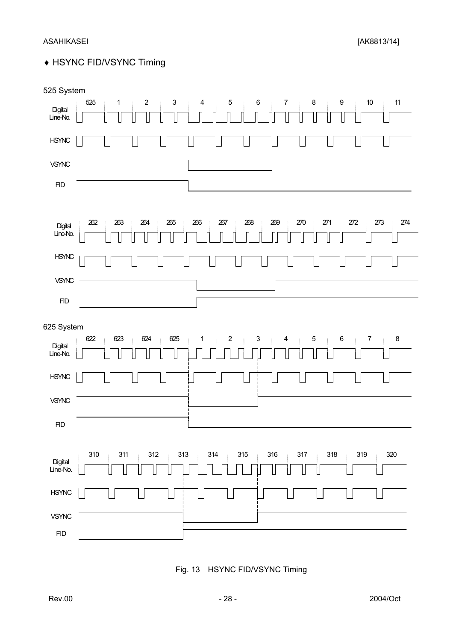## ♦ HSYNC FID/VSYNC Timing

| 525 System                        |                                                                                                                                                                                            |
|-----------------------------------|--------------------------------------------------------------------------------------------------------------------------------------------------------------------------------------------|
| Digital<br>Line-No.               | $\boldsymbol{2}$<br>$\ensuremath{\mathsf{3}}$<br>$\bf 8$<br>525<br>$\overline{4}$<br>$\boldsymbol{6}$<br>9<br>$10$<br>$11$<br>$\mathbf{1}$<br>$\overline{5}$<br>$\overline{7}$<br>÷<br>- i |
| $H\!S\!M\!N\!C$                   |                                                                                                                                                                                            |
| VSYNC                             |                                                                                                                                                                                            |
| FID                               |                                                                                                                                                                                            |
|                                   |                                                                                                                                                                                            |
| Digital<br>Line-No.               | 262<br>263<br>264<br>265<br>266<br>267<br>268<br>269<br>270<br>271<br>$272\,$<br>273<br>274                                                                                                |
| <b>HSYNC</b>                      |                                                                                                                                                                                            |
| VSYNC                             |                                                                                                                                                                                            |
| HD                                |                                                                                                                                                                                            |
| 625 System<br>Digital<br>Line-No. | 625<br>622<br>623<br>624<br>$\overline{c}$<br>$\mathsf 3$<br>$5\phantom{.0}$<br>$\,6$<br>$\overline{7}$<br>$\bf 8$<br>$\mathbf{1}$<br>$\overline{4}$<br>÷                                  |
| <b>HSYNC</b>                      |                                                                                                                                                                                            |
| VSYNC                             |                                                                                                                                                                                            |
| <b>FID</b>                        |                                                                                                                                                                                            |
| Digital<br>Line-No.               | 310<br>311<br>$312\,$<br>313<br>$314$<br>315<br>316<br>317<br>318<br>320<br>319<br>÷                                                                                                       |
| <b>HSYNC</b>                      |                                                                                                                                                                                            |
| <b>VSYNC</b>                      |                                                                                                                                                                                            |
| ${\sf FID}$                       |                                                                                                                                                                                            |

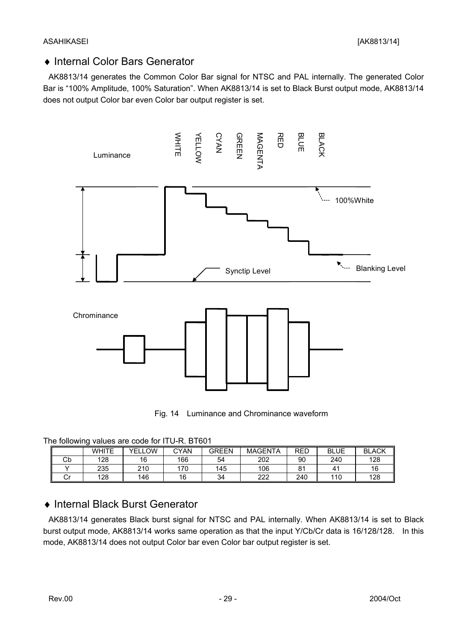### ♦ Internal Color Bars Generator

AK8813/14 generates the Common Color Bar signal for NTSC and PAL internally. The generated Color Bar is "100% Amplitude, 100% Saturation". When AK8813/14 is set to Black Burst output mode, AK8813/14 does not output Color bar even Color bar output register is set.





| The following values are code for ITU-R. BT601 |
|------------------------------------------------|
|------------------------------------------------|

|    | <b>WHITE</b> | .OW<br>YEL. | CYAN | <b>GREEN</b> | <b>MAGENTA</b> | <b>RED</b> | <b>BLUE</b> | <b>BLACK</b> |  |
|----|--------------|-------------|------|--------------|----------------|------------|-------------|--------------|--|
| Cb | 128          | 16          | 166  | 54           | 202            | 90         | 240         | 128          |  |
|    | 235          | 210         | 170  | 145          | 106            | о.         | 41          | 16           |  |
| י  | 128          | 146         | 16   | 34           | 222            | 240        | 110         | 128          |  |

### ♦ Internal Black Burst Generator

AK8813/14 generates Black burst signal for NTSC and PAL internally. When AK8813/14 is set to Black burst output mode, AK8813/14 works same operation as that the input Y/Cb/Cr data is 16/128/128. In this mode, AK8813/14 does not output Color bar even Color bar output register is set.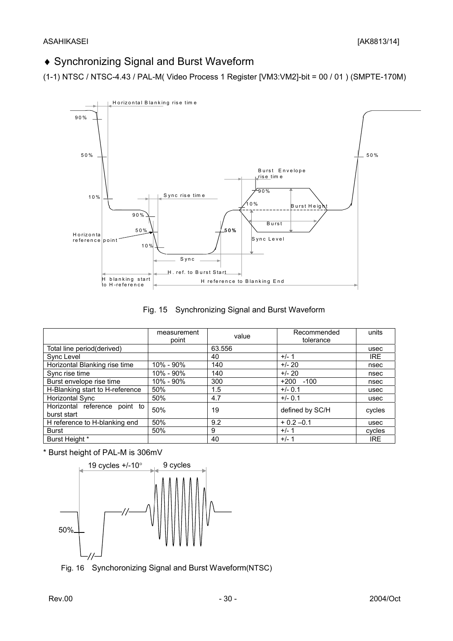### ♦ Synchronizing Signal and Burst Waveform

(1-1) NTSC / NTSC-4.43 / PAL-M( Video Process 1 Register [VM3:VM2]-bit = 00 / 01 ) (SMPTE-170M)





|                                              | measurement<br>point | value  | Recommended<br>tolerance | units      |
|----------------------------------------------|----------------------|--------|--------------------------|------------|
| Total line period(derived)                   |                      | 63.556 |                          | usec       |
| Sync Level                                   |                      | 40     | $+/-1$                   | <b>IRE</b> |
| Horizontal Blanking rise time                | 10% - 90%            | 140    | $+/- 20$                 | nsec       |
| Sync rise time                               | 10% - 90%            | 140    | $+/- 20$                 | nsec       |
| Burst envelope rise time                     | 10% - 90%            | 300    | $+200 -100$              | nsec       |
| H-Blanking start to H-reference              | 50%                  | 1.5    | $+/- 0.1$                | usec       |
| Horizontal Sync                              | 50%                  | 4.7    | $+/- 0.1$                | usec       |
| Horizontal reference point to<br>burst start | 50%                  | 19     | defined by SC/H          | cycles     |
| H reference to H-blanking end                | 50%                  | 9.2    | $+0.2 -0.1$              | usec       |
| <b>Burst</b>                                 | 50%                  | 9      | $+/- 1$                  | cycles     |
| Burst Height *                               |                      | 40     | $+/- 1$                  | <b>IRE</b> |

\* Burst height of PAL-M is 306mV



Fig. 16 Synchoronizing Signal and Burst Waveform(NTSC)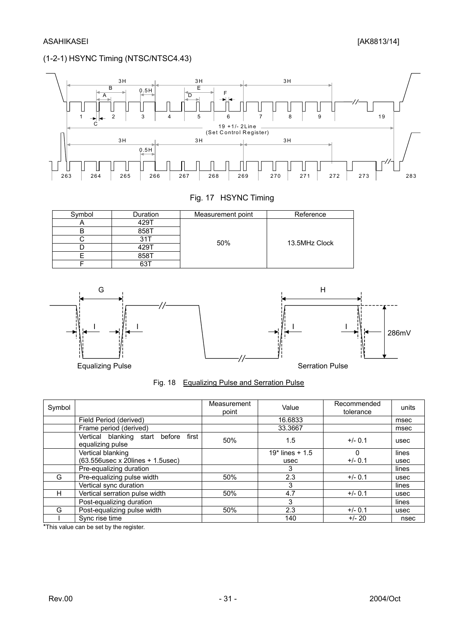#### (1-2-1) HSYNC Timing (NTSC/NTSC4.43)



#### Fig. 17 HSYNC Timing

| ∖ymbol | Duration | Reference |               |
|--------|----------|-----------|---------------|
|        | 429      |           |               |
|        | 858T     |           |               |
|        |          | 50%       | 13.5MHz Clock |
|        | 429      |           |               |
|        | 858T     |           |               |
|        | 63       |           |               |





Fig. 18 Equalizing Pulse and Serration Pulse

| Symbol |                                                                | Measurement<br>point | Value             | Recommended<br>tolerance | units |
|--------|----------------------------------------------------------------|----------------------|-------------------|--------------------------|-------|
|        | Field Period (derived)                                         |                      | 16.6833           |                          | msec  |
|        | Frame period (derived)                                         |                      | 33.3667           |                          | msec  |
|        | Vertical blanking start<br>first<br>before<br>equalizing pulse | 50%                  | 1.5               | $+/- 0.1$                | usec  |
|        | Vertical blanking                                              |                      | $19*$ lines + 1.5 | 0                        | lines |
|        | (63.556usec x 20lines + 1.5usec)                               |                      | usec              | $+/- 0.1$                | usec  |
|        | Pre-equalizing duration                                        |                      | 3                 |                          | lines |
| G      | Pre-equalizing pulse width                                     | 50%                  | 2.3               | $+/- 0.1$                | usec  |
|        | Vertical sync duration                                         |                      | 3                 |                          | lines |
| н      | Vertical serration pulse width                                 | 50%                  | 4.7               | $+/- 0.1$                | usec  |
|        | Post-equalizing duration                                       |                      | 3                 |                          | lines |
| G      | Post-equalizing pulse width                                    | 50%                  | 2.3               | $+/- 0.1$                | usec  |
|        | Sync rise time                                                 |                      | 140               | $+/- 20$                 | nsec  |

\*This value can be set by the register.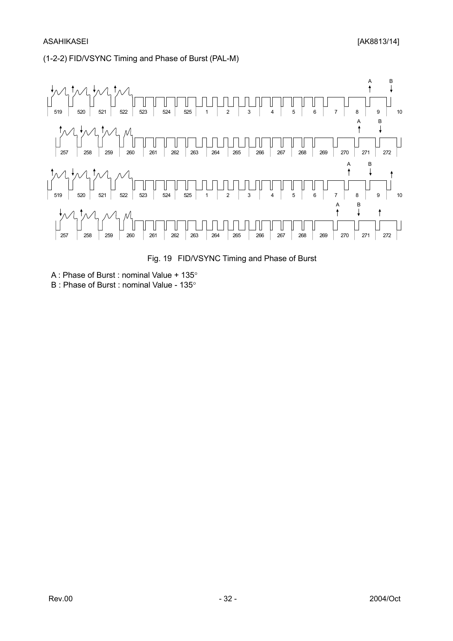#### (1-2-2) FID/VSYNC Timing and Phase of Burst (PAL-M)



Fig. 19 FID/VSYNC Timing and Phase of Burst

A : Phase of Burst : nominal Value + 135°

B : Phase of Burst : nominal Value - 135°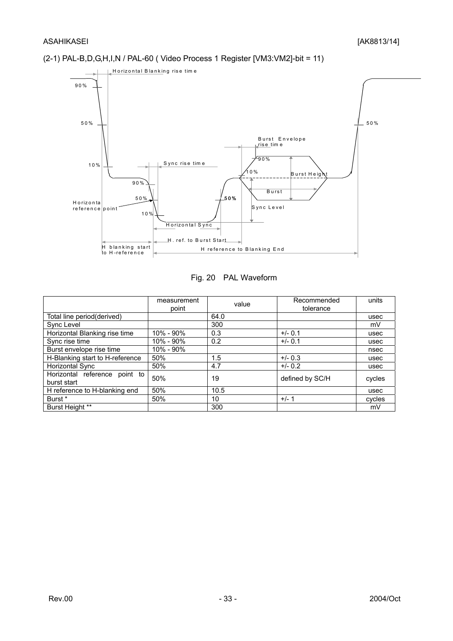#### (2-1) PAL-B,D,G,H,I,N / PAL-60 ( Video Process 1 Register [VM3:VM2]-bit = 11)



#### Fig. 20 PAL Waveform

|                                              | measurement<br>point | value | Recommended<br>tolerance | units  |
|----------------------------------------------|----------------------|-------|--------------------------|--------|
| Total line period(derived)                   |                      | 64.0  |                          | usec   |
| Sync Level                                   |                      | 300   |                          | mV     |
| Horizontal Blanking rise time                | 10% - 90%            | 0.3   | $+/- 0.1$                | usec   |
| Sync rise time                               | 10% - 90%            | 0.2   | $+/- 0.1$                | usec   |
| Burst envelope rise time                     | 10% - 90%            |       |                          | nsec   |
| H-Blanking start to H-reference              | 50%                  | 1.5   | $+/- 0.3$                | usec   |
| Horizontal Sync                              | 50%                  | 4.7   | $+/- 0.2$                | usec   |
| Horizontal reference point to<br>burst start | 50%                  | 19    | defined by SC/H          | cycles |
| H reference to H-blanking end                | 50%                  | 10.5  |                          | usec   |
| Burst *                                      | 50%                  | 10    | $+/- 1$                  | cycles |
| <b>Burst Height **</b>                       |                      | 300   |                          | mV     |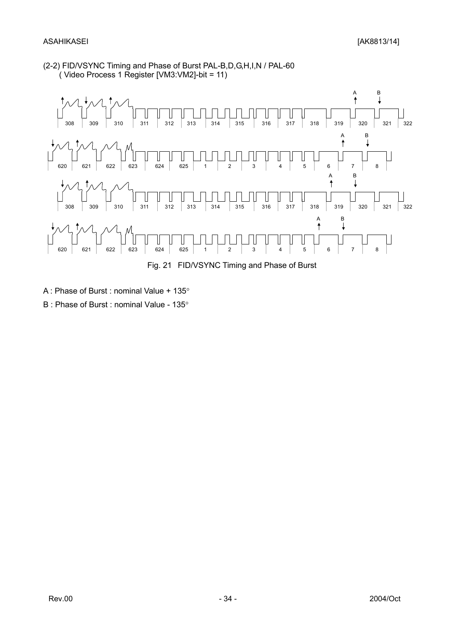#### (2-2) FID/VSYNC Timing and Phase of Burst PAL-B,D,G,H,I,N / PAL-60 ( Video Process 1 Register [VM3:VM2]-bit = 11)



- A : Phase of Burst : nominal Value + 135°
- B : Phase of Burst : nominal Value 135°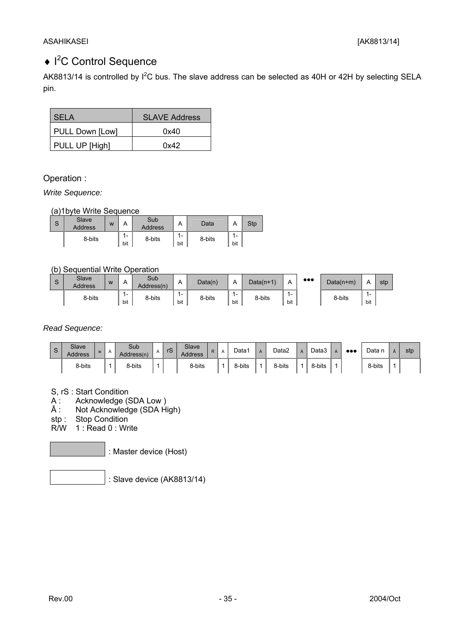### ◆ I<sup>2</sup>C Control Sequence

AK8813/14 is controlled by  $I^2C$  bus. The slave address can be selected as 40H or 42H by selecting SELA pin.

| SELA            | <b>SLAVE Address</b> |
|-----------------|----------------------|
| PULL Down [Low] | 0x40                 |
| PULL UP [High]  | 0x42                 |

Operation :

*Write Sequence:*

(a)1byte Write Sequence

| S | Slave<br><b>Address</b> | W | Α          | Sub<br><b>Address</b> | $\overline{A}$                        | Data   | Α            | <b>Stp</b> |
|---|-------------------------|---|------------|-----------------------|---------------------------------------|--------|--------------|------------|
|   | 8-bits                  |   | . -<br>bit | 8-bits                | $\overline{\mathbf{A}}$<br>. .<br>bit | 8-bits | $1 -$<br>bit |            |

(b) Sequential Write Operation

| <b>D</b> | <b>Slave</b><br><b>Address</b> | W |            | Sub<br>Address(n) | A                               | Data(n) | Α                               | $Data(n+1)$ | -                               | $\bullet\bullet\bullet$ | $Data(n+m)$ | ▵                               | stp |
|----------|--------------------------------|---|------------|-------------------|---------------------------------|---------|---------------------------------|-------------|---------------------------------|-------------------------|-------------|---------------------------------|-----|
|          | 8-bits                         |   | . .<br>bit | 8-bits            | $\overline{\phantom{a}}$<br>bit | 8-bits  | $\overline{\phantom{a}}$<br>bit | 8-bits      | $\overline{\phantom{a}}$<br>bit |                         | 8-bits      | $\overline{\phantom{0}}$<br>bit |     |

*Read Sequence:*

| ົ<br>ూ | Slave<br>Address | W | $\mathsf{A}$ | Sub<br>Address(n) | $\mathsf{A}$ | rS | Slave<br><b>Address</b> | R. | $\overline{A}$ | Data1  | $\mathsf{A}$ | Data2  | Data3  | $\bullet\bullet\bullet$ | Data   | stp |
|--------|------------------|---|--------------|-------------------|--------------|----|-------------------------|----|----------------|--------|--------------|--------|--------|-------------------------|--------|-----|
|        | 8-bits           |   |              | 8-bits            |              |    | 8-bits                  |    |                | 8-bits |              | 8-bits | 8-bits |                         | 8-bits |     |

S, rS : Start Condition

A : Acknowledge (SDA Low )

Ā : Not Acknowledge (SDA High)

stp : Stop Condition

R/W 1 : Read 0 : Write

: Master device (Host)

: Slave device (AK8813/14)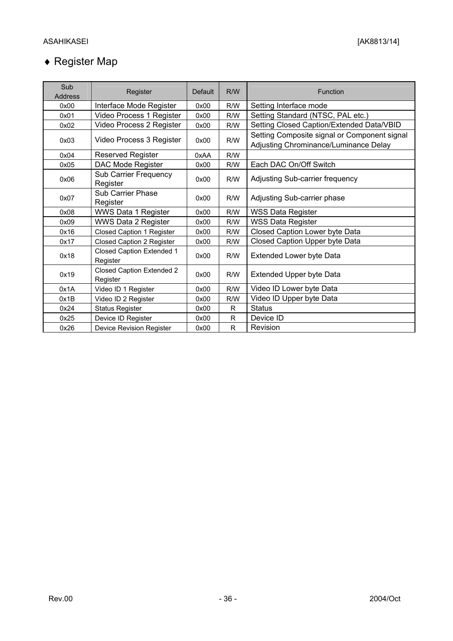## ♦ Register Map

| Sub            |                                              |                |     |                                                                                       |
|----------------|----------------------------------------------|----------------|-----|---------------------------------------------------------------------------------------|
| <b>Address</b> | Register                                     | <b>Default</b> | R/W | <b>Function</b>                                                                       |
| 0x00           | Interface Mode Register                      | 0x00           | R/W | Setting Interface mode                                                                |
| 0x01           | Video Process 1 Register                     | 0x00           | R/W | Setting Standard (NTSC, PAL etc.)                                                     |
| 0x02           | Video Process 2 Register                     | 0x00           | R/W | Setting Closed Caption/Extended Data/VBID                                             |
| 0x03           | Video Process 3 Register                     | 0x00           | R/W | Setting Composite signal or Component signal<br>Adjusting Chrominance/Luminance Delay |
| 0x04           | <b>Reserved Register</b>                     | 0xAA           | R/W |                                                                                       |
| 0x05           | DAC Mode Register                            | 0x00           | R/W | Each DAC On/Off Switch                                                                |
| 0x06           | <b>Sub Carrier Frequency</b><br>Register     | 0x00           | R/W | Adjusting Sub-carrier frequency                                                       |
| 0x07           | Sub Carrier Phase<br>Register                | 0x00           | R/W | Adjusting Sub-carrier phase                                                           |
| 0x08           | <b>WWS Data 1 Register</b>                   | 0x00           | R/W | <b>WSS Data Register</b>                                                              |
| 0x09           | <b>WWS Data 2 Register</b>                   | 0x00           | R/W | <b>WSS Data Register</b>                                                              |
| 0x16           | Closed Caption 1 Register                    | 0x00           | R/W | Closed Caption Lower byte Data                                                        |
| 0x17           | Closed Caption 2 Register                    | 0x00           | R/W | Closed Caption Upper byte Data                                                        |
| 0x18           | Closed Caption Extended 1<br>Register        | 0x00           | R/W | <b>Extended Lower byte Data</b>                                                       |
| 0x19           | <b>Closed Caption Extended 2</b><br>Register | 0x00           | R/W | Extended Upper byte Data                                                              |
| 0x1A           | Video ID 1 Register                          | 0x00           | R/W | Video ID Lower byte Data                                                              |
| 0x1B           | Video ID 2 Register                          | 0x00           | R/W | Video ID Upper byte Data                                                              |
| 0x24           | <b>Status Register</b>                       | 0x00           | R   | <b>Status</b>                                                                         |
| 0x25           | Device ID Register                           | 0x00           | R   | Device ID                                                                             |
| 0x26           | <b>Device Revision Register</b>              | 0x00           | R   | Revision                                                                              |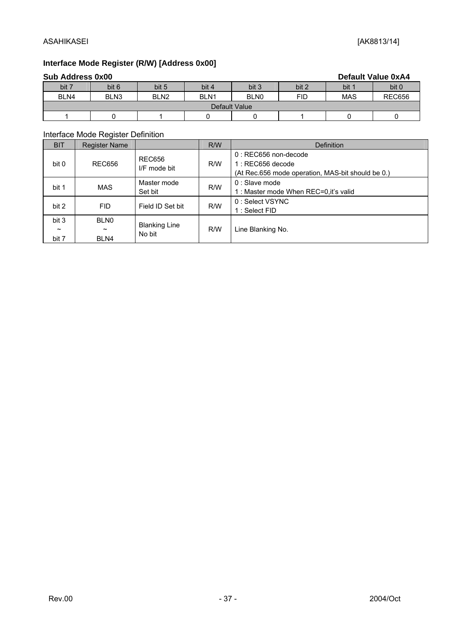### **Interface Mode Register (R/W) [Address 0x00]**

| <b>Sub Address 0x00</b><br><b>Default Value 0xA4</b> |                  |                  |                  |                  |       |            |               |  |  |
|------------------------------------------------------|------------------|------------------|------------------|------------------|-------|------------|---------------|--|--|
| bit 7                                                | bit 6            | bit 5            | bit 4            | bit 3            | bit 2 | bit 1      | bit 0         |  |  |
| BLN4                                                 | BLN <sub>3</sub> | BLN <sub>2</sub> | BLN <sub>1</sub> | BLN <sub>0</sub> | FID   | <b>MAS</b> | <b>REC656</b> |  |  |
| Default Value                                        |                  |                  |                  |                  |       |            |               |  |  |
|                                                      |                  |                  |                  |                  |       |            |               |  |  |

#### Interface Mode Register Definition

| <b>BIT</b>                              | <b>Register Name</b>                         |                                | R/W | <b>Definition</b>                                                                                |
|-----------------------------------------|----------------------------------------------|--------------------------------|-----|--------------------------------------------------------------------------------------------------|
| bit 0                                   | <b>REC656</b>                                | <b>REC656</b><br>I/F mode bit  | R/W | 0 : REC656 non-decode<br>$1: REC656$ decode<br>(At Rec.656 mode operation, MAS-bit should be 0.) |
| bit 1                                   | <b>MAS</b>                                   | Master mode<br>Set bit         | R/W | 0 : Slave mode<br>1: Master mode When REC=0, it's valid                                          |
| bit 2                                   | <b>FID</b>                                   | Field ID Set bit               | R/W | 0: Select VSYNC<br>1 : Select FID                                                                |
| bit 3<br>$\tilde{\phantom{a}}$<br>bit 7 | <b>BLN0</b><br>$\tilde{\phantom{a}}$<br>BLN4 | <b>Blanking Line</b><br>No bit | R/W | Line Blanking No.                                                                                |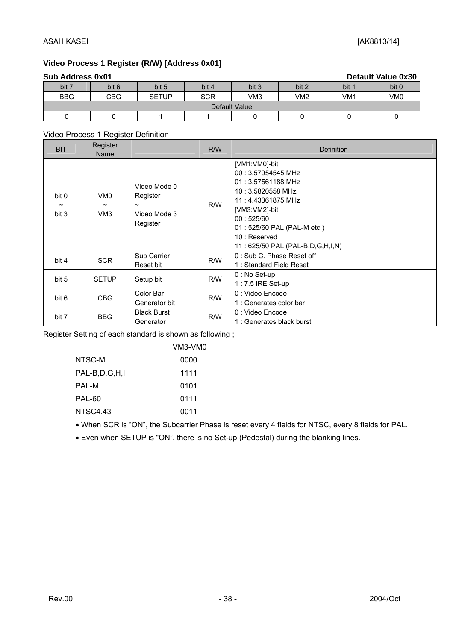#### ASAHIKASEI [AK8813/14]

### **Video Process 1 Register (R/W) [Address 0x01]**

|               | <b>Sub Address 0x01</b><br><b>Default Value 0x30</b> |              |            |       |       |       |       |  |  |  |  |
|---------------|------------------------------------------------------|--------------|------------|-------|-------|-------|-------|--|--|--|--|
| bit 7         | bit 6                                                | bit 5        | bit 4      | bit 3 | bit 2 | bit 1 | bit 0 |  |  |  |  |
| <b>BBG</b>    | CBG                                                  | <b>SETUP</b> | <b>SCR</b> | VM3   | VM2   | VM1   | VM0   |  |  |  |  |
| Default Value |                                                      |              |            |       |       |       |       |  |  |  |  |
|               |                                                      |              |            |       |       |       |       |  |  |  |  |

#### Video Process 1 Register Definition

| <b>BIT</b>                              | Register<br>Name                                            |                                                                               | R/W | <b>Definition</b>                                                                                                                                                                                                       |
|-----------------------------------------|-------------------------------------------------------------|-------------------------------------------------------------------------------|-----|-------------------------------------------------------------------------------------------------------------------------------------------------------------------------------------------------------------------------|
| bit 0<br>$\tilde{\phantom{a}}$<br>bit 3 | VM <sub>0</sub><br>$\tilde{\phantom{a}}$<br>VM <sub>3</sub> | Video Mode 0<br>Register<br>$\tilde{\phantom{a}}$<br>Video Mode 3<br>Register | R/W | [VM1:VM0]-bit<br>00: 3.57954545 MHz<br>01: 3.57561188 MHz<br>10: 3.5820558 MHz<br>11: 4.43361875 MHz<br>[VM3:VM2]-bit<br>00:525/60<br>01 : 525/60 PAL (PAL-M etc.)<br>10 : Reserved<br>11: 625/50 PAL (PAL-B,D,G,H,I,N) |
| bit 4                                   | <b>SCR</b>                                                  | Sub Carrier<br>Reset bit                                                      | R/W | 0 : Sub C. Phase Reset off<br>1: Standard Field Reset                                                                                                                                                                   |
| bit 5                                   | <b>SETUP</b>                                                | Setup bit                                                                     | R/W | $0:$ No Set-up<br>$1:7.5$ IRE Set-up                                                                                                                                                                                    |
| bit 6                                   | <b>CBG</b>                                                  | Color Bar<br>Generator bit                                                    | R/W | 0 : Video Encode<br>1 : Generates color bar                                                                                                                                                                             |
| bit 7                                   | <b>BBG</b>                                                  | <b>Black Burst</b><br>Generator                                               | R/W | 0 : Video Encode<br>1 : Generates black burst                                                                                                                                                                           |

Register Setting of each standard is shown as following ;

|               | VM3-VM0 |
|---------------|---------|
| NTSC-M        | 0000    |
| PAL-B,D,G,H,I | 1111    |
| PAL-M         | 0101    |
| <b>PAL-60</b> | 0111    |
| NTSC4.43      | 0011    |
|               |         |

• When SCR is "ON", the Subcarrier Phase is reset every 4 fields for NTSC, every 8 fields for PAL.

• Even when SETUP is "ON", there is no Set-up (Pedestal) during the blanking lines.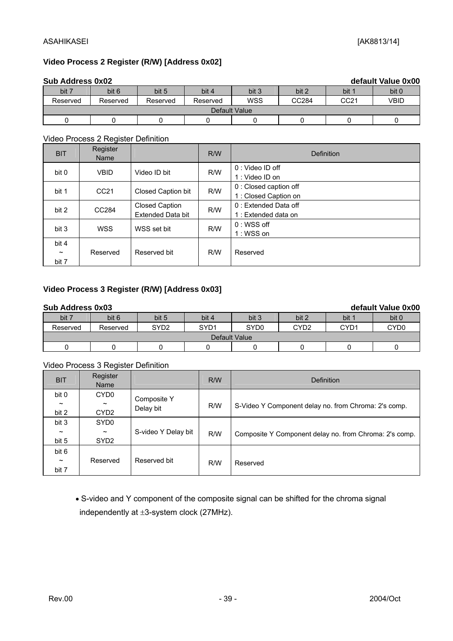#### ASAHIKASEI [AK8813/14]

#### **Video Process 2 Register (R/W) [Address 0x02]**

|               | <b>Sub Address 0x02</b><br>default Value 0x00 |          |          |       |       |       |       |  |  |  |  |
|---------------|-----------------------------------------------|----------|----------|-------|-------|-------|-------|--|--|--|--|
| bit 7         | bit 6                                         | bit 5    | bit 4    | bit 3 | bit 2 | bit 1 | bit 0 |  |  |  |  |
| Reserved      | Reserved                                      | Reserved | Reserved | WSS   | CC284 | CC21  | VBID  |  |  |  |  |
| Default Value |                                               |          |          |       |       |       |       |  |  |  |  |
|               |                                               |          |          |       |       |       |       |  |  |  |  |

#### Video Process 2 Register Definition

| <b>BIT</b>                              | Register<br>Name |                                                   | R/W | Definition                                      |
|-----------------------------------------|------------------|---------------------------------------------------|-----|-------------------------------------------------|
| bit 0                                   | <b>VBID</b>      | Video ID bit                                      | R/W | $0:$ Video ID off<br>1: Video ID on             |
| bit 1                                   | CC <sub>21</sub> | Closed Caption bit                                | R/W | 0 : Closed caption off<br>1 : Closed Caption on |
| bit 2                                   | CC284            | <b>Closed Caption</b><br><b>Extended Data bit</b> | R/W | 0 : Extended Data off<br>1 : Extended data on   |
| bit 3                                   | <b>WSS</b>       | WSS set bit                                       | R/W | $0: WSS$ off<br>1: WSS on                       |
| bit 4<br>$\tilde{\phantom{a}}$<br>bit 7 | Reserved         | Reserved bit                                      | R/W | Reserved                                        |

#### **Video Process 3 Register (R/W) [Address 0x03]**

#### **Sub Address 0x03 default Value 0x00**

| <u>UUN MUULUSS UAUJ</u> |               |                  |       |                  |       |                  | GUIGUIL VAIUU VAVV |  |  |
|-------------------------|---------------|------------------|-------|------------------|-------|------------------|--------------------|--|--|
| bit 7                   | bit 6         | bit 5            | bit 4 | bit 3            | bit 2 | bit '            | bit 0              |  |  |
| Reserved                | Reserved      | SYD <sub>2</sub> | SYD1  | SYD <sub>0</sub> | CYD2  | CYD <sub>1</sub> | CYD <sub>0</sub>   |  |  |
|                         | Default Value |                  |       |                  |       |                  |                    |  |  |
|                         |               |                  |       |                  |       |                  |                    |  |  |

#### Video Process 3 Register Definition

| <b>BIT</b>            | - ت س<br>Register<br>Name |                     | R/W | <b>Definition</b>                                      |  |  |
|-----------------------|---------------------------|---------------------|-----|--------------------------------------------------------|--|--|
| bit 0                 | CYD <sub>0</sub>          |                     |     |                                                        |  |  |
| $\tilde{\phantom{a}}$ | $\tilde{\phantom{a}}$     | Composite Y         | R/W | S-Video Y Component delay no. from Chroma: 2's comp.   |  |  |
| bit 2                 | CYD <sub>2</sub>          | Delay bit           |     |                                                        |  |  |
| bit 3                 | SYD <sub>0</sub>          |                     |     |                                                        |  |  |
|                       | $\tilde{\phantom{a}}$     | S-video Y Delay bit | R/W | Composite Y Component delay no. from Chroma: 2's comp. |  |  |
| bit 5                 | SYD <sub>2</sub>          |                     |     |                                                        |  |  |
| bit 6                 |                           |                     |     |                                                        |  |  |
| $\tilde{\phantom{a}}$ | Reserved                  | Reserved bit        | R/W | Reserved                                               |  |  |
| bit 7                 |                           |                     |     |                                                        |  |  |

• S-video and Y component of the composite signal can be shifted for the chroma signal independently at ±3-system clock (27MHz).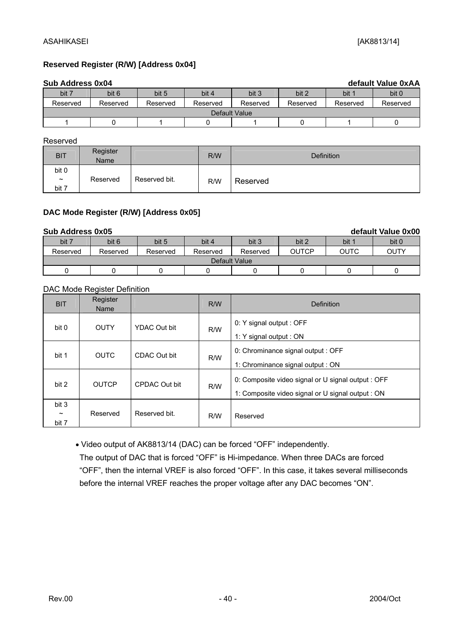#### **Reserved Register (R/W) [Address 0x04]**

|          | Sub Address 0x04<br>default Value 0xAA |          |          |          |          |          |          |  |  |  |  |
|----------|----------------------------------------|----------|----------|----------|----------|----------|----------|--|--|--|--|
| bit 7    | bit 6                                  | bit 5    | bit 4    | bit 3    | bit 2    | bit 1    | bit 0    |  |  |  |  |
| Reserved | Reserved                               | Reserved | Reserved | Reserved | Reserved | Reserved | Reserved |  |  |  |  |
|          | Default Value                          |          |          |          |          |          |          |  |  |  |  |
|          |                                        |          |          |          |          |          |          |  |  |  |  |

Reserved

| <b>BIT</b>                     | Register<br>Name |               | R/W | <b>Definition</b> |
|--------------------------------|------------------|---------------|-----|-------------------|
| bit 0                          |                  |               |     |                   |
| $\tilde{\phantom{a}}$<br>bit 7 | Reserved         | Reserved bit. | R/W | Reserved          |

#### **DAC Mode Register (R/W) [Address 0x05]**

|               | Sub Address 0x05<br>default Value 0x00 |          |          |          |              |             |       |  |  |  |  |
|---------------|----------------------------------------|----------|----------|----------|--------------|-------------|-------|--|--|--|--|
| bit 7         | bit 6                                  | bit 5    | bit 4    | bit 3    | bit 2        | bit 1       | bit 0 |  |  |  |  |
| Reserved      | Reserved                               | Reserved | Reserved | Reserved | <b>OUTCP</b> | <b>OUTC</b> | OUTY  |  |  |  |  |
| Default Value |                                        |          |          |          |              |             |       |  |  |  |  |
|               |                                        |          |          |          |              |             |       |  |  |  |  |

#### DAC Mode Register Definition

| <b>BIT</b>                              | Register<br>Name |                     | R/W | Definition                                                                                              |  |  |
|-----------------------------------------|------------------|---------------------|-----|---------------------------------------------------------------------------------------------------------|--|--|
| bit 0                                   | <b>OUTY</b>      | <b>YDAC Out bit</b> | R/W | 0: Y signal output : OFF<br>1: Y signal output : ON                                                     |  |  |
| bit 1                                   | <b>OUTC</b>      | CDAC Out bit        | R/W | 0: Chrominance signal output : OFF<br>1: Chrominance signal output : ON                                 |  |  |
| bit 2                                   | <b>OUTCP</b>     | CPDAC Out bit       | R/W | 0: Composite video signal or U signal output : OFF<br>1: Composite video signal or U signal output : ON |  |  |
| bit 3<br>$\tilde{\phantom{a}}$<br>bit 7 | Reserved         | Reserved bit.       | R/W | Reserved                                                                                                |  |  |

• Video output of AK8813/14 (DAC) can be forced "OFF" independently.

 The output of DAC that is forced "OFF" is Hi-impedance. When three DACs are forced "OFF", then the internal VREF is also forced "OFF". In this case, it takes several milliseconds before the internal VREF reaches the proper voltage after any DAC becomes "ON".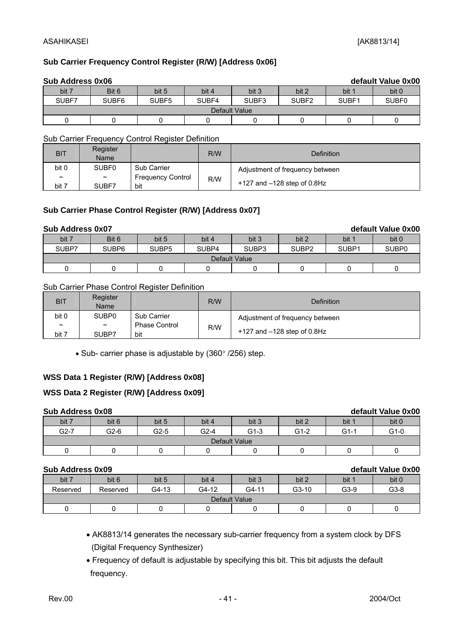#### **Sub Carrier Frequency Control Register (R/W) [Address 0x06]**

|       | <b>Sub Address 0x06</b><br>default Value 0x00 |                   |       |       |                   |       |                   |  |  |  |  |  |
|-------|-----------------------------------------------|-------------------|-------|-------|-------------------|-------|-------------------|--|--|--|--|--|
| bit 7 | Bit 6                                         | bit 5             | bit 4 | bit 3 | bit 2             | bit 1 | bit 0             |  |  |  |  |  |
| SUBF7 | SUBF <sub>6</sub>                             | SUBF <sub>5</sub> | SUBF4 | SUBF3 | SUBF <sub>2</sub> | SUBF1 | SUBF <sub>0</sub> |  |  |  |  |  |
|       | Default Value                                 |                   |       |       |                   |       |                   |  |  |  |  |  |
|       |                                               |                   |       |       |                   |       |                   |  |  |  |  |  |

Sub Carrier Frequency Control Register Definition

| <b>BIT</b>            | Register<br>Name      |                          | R/W | <b>Definition</b>               |
|-----------------------|-----------------------|--------------------------|-----|---------------------------------|
| bit 0                 | <b>SUBF0</b>          | <b>Sub Carrier</b>       |     | Adjustment of frequency between |
| $\tilde{\phantom{a}}$ | $\tilde{\phantom{a}}$ | <b>Frequency Control</b> | R/W |                                 |
| bit 7                 | SUBF7                 | bit                      |     | $+127$ and $-128$ step of 0.8Hz |

#### **Sub Carrier Phase Control Register (R/W) [Address 0x07]**

|               | Sub Address 0x07<br>default Value 0x00 |                   |       |                   |                   |                   |                   |  |  |  |  |  |
|---------------|----------------------------------------|-------------------|-------|-------------------|-------------------|-------------------|-------------------|--|--|--|--|--|
| bit 7         | Bit 6                                  | bit 5             | bit 4 | bit 3             | bit 2             | bit 1             | bit 0             |  |  |  |  |  |
| SUBP7         | SUBP <sub>6</sub>                      | SUBP <sub>5</sub> | SUBP4 | SUBP <sub>3</sub> | SUBP <sub>2</sub> | SUBP <sub>1</sub> | SUBP <sub>0</sub> |  |  |  |  |  |
| Default Value |                                        |                   |       |                   |                   |                   |                   |  |  |  |  |  |
|               |                                        |                   |       |                   |                   |                   |                   |  |  |  |  |  |

#### Sub Carrier Phase Control Register Definition

| <b>BIT</b>            | Register<br>Name      |                    | R/W | Definition                      |
|-----------------------|-----------------------|--------------------|-----|---------------------------------|
| bit 0                 | SUBP <sub>0</sub>     | <b>Sub Carrier</b> |     | Adjustment of frequency between |
| $\tilde{\phantom{a}}$ | $\tilde{\phantom{a}}$ | Phase Control      | R/W |                                 |
| bit 7                 | SUBP7                 | bit                |     | $+127$ and $-128$ step of 0.8Hz |

• Sub- carrier phase is adjustable by (360° /256) step.

#### **WSS Data 1 Register (R/W) [Address 0x08]**

#### **WSS Data 2 Register (R/W) [Address 0x09]**

| _ _ _ _ _ _ _ _ _ _ _ _ _ _ |        |        |        |               |        |        | ------------------ |
|-----------------------------|--------|--------|--------|---------------|--------|--------|--------------------|
| bit 7                       | bit 6  | bit 5  | bit 4  | bit 3         | bit 2  | bit 1  | bit 0              |
| $G2-7$                      | $G2-6$ | $G2-5$ | $G2-4$ | $G1-3$        | $G1-2$ | $G1-1$ | $G1-0$             |
|                             |        |        |        | Default Value |        |        |                    |
|                             |        |        |        |               |        |        |                    |

#### **Sub Address 0x09 default Value 0x00**

|               | <u>UUN MUULUJI UAUJ</u><br>Gorgan value ovoo |       |       |       |         |        |        |  |  |  |
|---------------|----------------------------------------------|-------|-------|-------|---------|--------|--------|--|--|--|
| bit 7         | bit 6                                        | bit 5 | bit 4 | bit 3 | bit 2   | bit 1  | bit 0  |  |  |  |
| Reserved      | Reserved                                     | G4-13 | G4-12 | G4-11 | $G3-10$ | $G3-9$ | $G3-8$ |  |  |  |
| Default Value |                                              |       |       |       |         |        |        |  |  |  |
|               |                                              |       |       |       |         |        |        |  |  |  |

- AK8813/14 generates the necessary sub-carrier frequency from a system clock by DFS (Digital Frequency Synthesizer)
- Frequency of default is adjustable by specifying this bit. This bit adjusts the default frequency.

**Sub Address 0x08 default Value 0x00**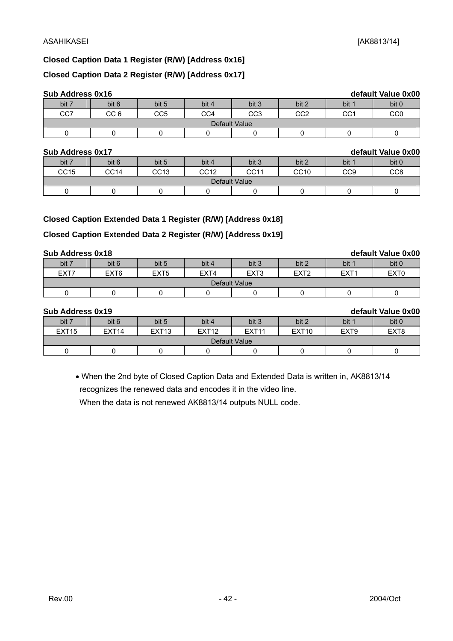**Sub Address 0x16 default Value 0x00** 

#### **Closed Caption Data 1 Register (R/W) [Address 0x16]**

#### **Closed Caption Data 2 Register (R/W) [Address 0x17]**

| <b>Sub Address 0x16</b> |
|-------------------------|
|-------------------------|

| <b>OUN LUAISS AND</b> |                 |       |       |                 |            |                 | <u>UVIUUIL VUIUV VAVV</u> |
|-----------------------|-----------------|-------|-------|-----------------|------------|-----------------|---------------------------|
| bit 7                 | bit 6           | bit 5 | bit 4 | bit 3           | bit 2      | bit 1           | bit 0                     |
| CC7                   | CC <sub>6</sub> | CC5   | CC4   | CC <sub>3</sub> | COQ<br>◡◡∠ | CC <sub>1</sub> | CC0                       |
|                       |                 |       |       | Default Value   |            |                 |                           |
|                       |                 |       |       |                 |            |                 |                           |

#### **Sub Address 0x17 default Value 0x00**

| <b>UUN AUULGOO VATI</b><br><u>UCIAUIL VAIUC VAVV</u><br>bit 7<br>bit 3<br>bit 6<br>bit 0<br>bit 2<br>bit 5<br>bit 4<br>bit 1 |      |      |      |      |             |                 |                 |  |  |  |
|------------------------------------------------------------------------------------------------------------------------------|------|------|------|------|-------------|-----------------|-----------------|--|--|--|
|                                                                                                                              |      |      |      |      |             |                 |                 |  |  |  |
| CC15                                                                                                                         | CC14 | CC13 | CC12 | CC11 | <b>CC10</b> | CC <sub>9</sub> | CC <sub>8</sub> |  |  |  |
| Default Value                                                                                                                |      |      |      |      |             |                 |                 |  |  |  |
|                                                                                                                              |      |      |      |      |             |                 |                 |  |  |  |

#### **Closed Caption Extended Data 1 Register (R/W) [Address 0x18]**

#### **Closed Caption Extended Data 2 Register (R/W) [Address 0x19]**

#### **Sub Address 0x18 default Value 0x00**

| ------------------ |                  |                  |       |                  |                  |                  |                  |
|--------------------|------------------|------------------|-------|------------------|------------------|------------------|------------------|
| bit 7              | bit 6            | bit 5            | bit 4 | bit 3            | bit 2            | bit 1            | bit 0            |
| EXT7               | EXT <sub>6</sub> | EXT <sub>5</sub> | EXT4  | EXT <sub>3</sub> | EXT <sub>2</sub> | EXT <sub>1</sub> | EXT <sub>0</sub> |
|                    |                  |                  |       | Default Value    |                  |                  |                  |
|                    |                  |                  |       |                  |                  |                  |                  |

| Sub Address 0x19  |                   |                   |                   |                   |                   |                  | default Value 0x00 |
|-------------------|-------------------|-------------------|-------------------|-------------------|-------------------|------------------|--------------------|
| bit 7             | bit 6             | bit 5             | bit 4             | bit 3             | bit 2             | bit 1            | bit 0              |
| EXT <sub>15</sub> | EXT <sub>14</sub> | EXT <sub>13</sub> | EXT <sub>12</sub> | EXT <sub>11</sub> | EXT <sub>10</sub> | EXT <sub>9</sub> | EXT <sub>8</sub>   |
| Default Value     |                   |                   |                   |                   |                   |                  |                    |
|                   |                   |                   |                   |                   |                   |                  |                    |

• When the 2nd byte of Closed Caption Data and Extended Data is written in, AK8813/14 recognizes the renewed data and encodes it in the video line.

When the data is not renewed AK8813/14 outputs NULL code.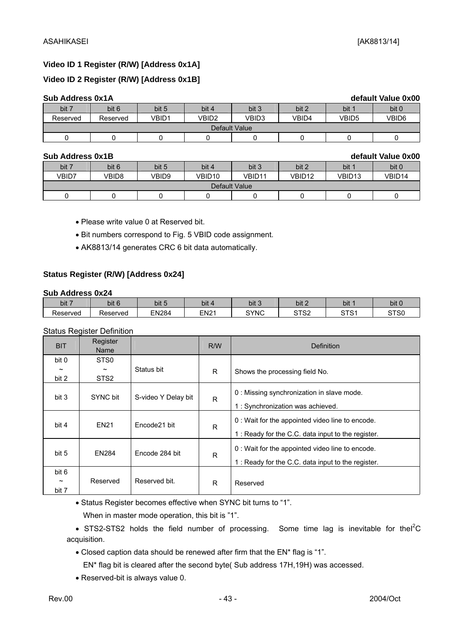#### **Video ID 1 Register (R/W) [Address 0x1A]**

#### **Video ID 2 Register (R/W) [Address 0x1B]**

| <b>Sub Address 0x1A</b> |          |       |       |       |       |       | default Value 0x00 |
|-------------------------|----------|-------|-------|-------|-------|-------|--------------------|
| bit 7                   | bit 6    | bit 5 | bit 4 | bit 3 | bit 2 | bit 1 | bit 0              |
| Reserved                | Reserved | VBID1 | VBID2 | VBID3 | VBID4 | VBID5 | VBID6              |
| Default Value           |          |       |       |       |       |       |                    |
|                         |          |       |       |       |       |       |                    |

#### **Sub Address 0x1B default Value 0x00**

| <u>UUD AUULUSS VATD</u> |       |       |        |        |        |        | GUIGUIL VAIUU VAVV |
|-------------------------|-------|-------|--------|--------|--------|--------|--------------------|
| bit 7                   | bit 6 | bit 5 | bit 4  | bit 3  | bit 2  | bit 1  | bit 0              |
| VBID7                   | VBID8 | VBID9 | VBID10 | VBID11 | VBID12 | VBID13 | VBID14             |
| Default Value           |       |       |        |        |        |        |                    |
|                         |       |       |        |        |        |        |                    |

• Please write value 0 at Reserved bit.

• Bit numbers correspond to Fig. 5 VBID code assignment.

• AK8813/14 generates CRC 6 bit data automatically.

#### **Status Register (R/W) [Address 0x24]**

#### **Sub Address 0x24**

| bit 7    | bit 6    | $\cdot$<br>bit 5 | $\sim$<br>bit | bit 3       | .<br>bit 2            | bit :           | bit '            |
|----------|----------|------------------|---------------|-------------|-----------------------|-----------------|------------------|
| Reserved | Reserved | <b>EN284</b>     | EN21          | <b>SYNC</b> | $\sim$ T $\sim$<br>ےت | $\cap$ TO.<br>ັ | ST <sub>S0</sub> |

#### Status Register Definition

| <b>BIT</b>                              | Register<br>Name                                              |                     | R/W | Definition                                                                                            |
|-----------------------------------------|---------------------------------------------------------------|---------------------|-----|-------------------------------------------------------------------------------------------------------|
| bit 0<br>$\tilde{\phantom{a}}$<br>bit 2 | STS <sub>0</sub><br>$\tilde{\phantom{a}}$<br>STS <sub>2</sub> | Status bit          | R.  | Shows the processing field No.                                                                        |
| bit 3                                   | SYNC bit                                                      | S-video Y Delay bit | R   | 0 : Missing synchronization in slave mode.<br>1 : Synchronization was achieved.                       |
| bit 4                                   | <b>EN21</b>                                                   | Encode21 bit        | R   | 0 : Wait for the appointed video line to encode.<br>1: Ready for the C.C. data input to the register. |
| bit 5                                   | EN284                                                         | Encode 284 bit      | R   | 0: Wait for the appointed video line to encode.<br>1 : Ready for the C.C. data input to the register. |
| bit 6<br>$\tilde{}$<br>bit 7            | Reserved                                                      | Reserved bit.       | R   | Reserved                                                                                              |

• Status Register becomes effective when SYNC bit turns to "1".

When in master mode operation, this bit is "1".

• STS2-STS2 holds the field number of processing. Some time lag is inevitable for the  ${}^{2}C$ acquisition.

• Closed caption data should be renewed after firm that the EN\* flag is "1".

EN\* flag bit is cleared after the second byte( Sub address 17H,19H) was accessed.

• Reserved-bit is always value 0.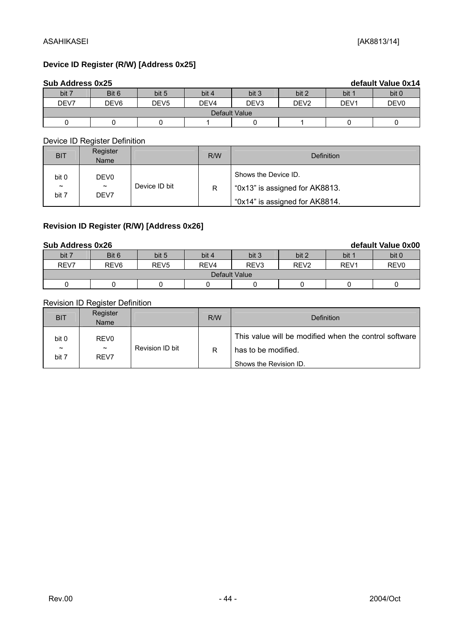#### **Device ID Register (R/W) [Address 0x25]**

| Sub Address 0x25 |                  |                  |                  |                  |                  |                  | default Value 0x14 |
|------------------|------------------|------------------|------------------|------------------|------------------|------------------|--------------------|
| bit 7            | Bit 6            | bit 5            | bit 4            | bit 3            | bit 2            | bit 1            | bit 0              |
| DEV7             | DEV <sub>6</sub> | DEV <sub>5</sub> | DEV <sub>4</sub> | DEV <sub>3</sub> | DEV <sub>2</sub> | DEV <sub>1</sub> | DEV <sub>0</sub>   |
| Default Value    |                  |                  |                  |                  |                  |                  |                    |
|                  |                  |                  |                  |                  |                  |                  |                    |

Device ID Register Definition

| <b>BIT</b>                   | Register<br>Name                       |               | R/W | Definition                                                                               |
|------------------------------|----------------------------------------|---------------|-----|------------------------------------------------------------------------------------------|
| bit 0<br>$\tilde{}$<br>bit 7 | DEV <sub>0</sub><br>$\tilde{}$<br>DEV7 | Device ID bit | R   | Shows the Device ID.<br>"0x13" is assigned for AK8813.<br>"0x14" is assigned for AK8814. |

#### **Revision ID Register (R/W) [Address 0x26]**

#### **Sub Address 0x26 default Value 0x00** bit 7 | Bit 6 | bit 5 | bit 4 | bit 3 | bit 2 | bit 1 | bit 0 | REV7 | REV6 | REV5 | REV4 | REV3 | REV2 | REV1 | REV0 Default Value 0 0 0 0 0 0 0 0 0 0

#### Revision ID Register Definition

| <b>BIT</b>                              | Register<br>Name                                  |                 | R/W | <b>Definition</b>                                                                                      |
|-----------------------------------------|---------------------------------------------------|-----------------|-----|--------------------------------------------------------------------------------------------------------|
| bit 0<br>$\tilde{\phantom{a}}$<br>bit 7 | REV <sub>0</sub><br>$\tilde{\phantom{a}}$<br>REV7 | Revision ID bit | R   | This value will be modified when the control software<br>has to be modified.<br>Shows the Revision ID. |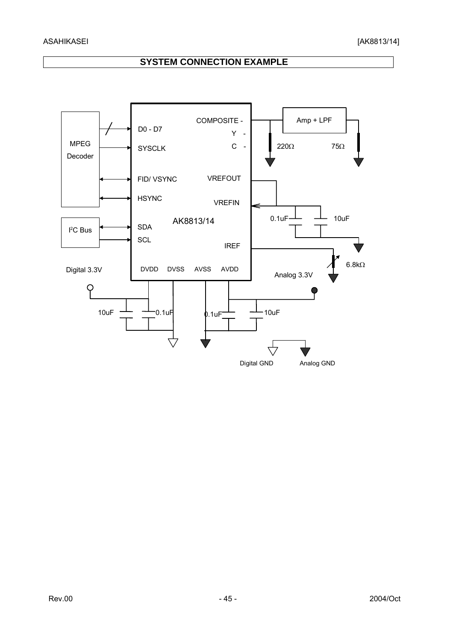### **SYSTEM CONNECTION EXAMPLE**

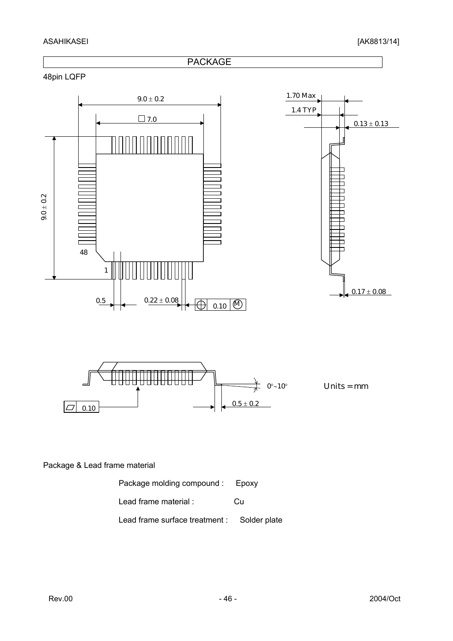#### ASAHIKASEI [AK8813/14]



Package molding compound : Epoxy Lead frame material : Cu Lead frame surface treatment : Solder plate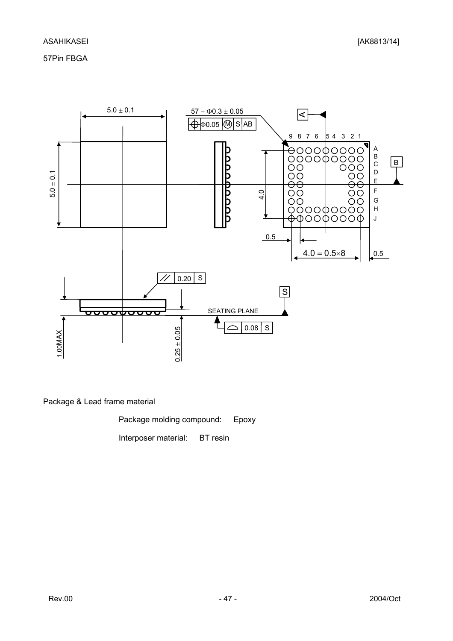57Pin FBGA



Package & Lead frame material

Package molding compound: Epoxy

Interposer material: BT resin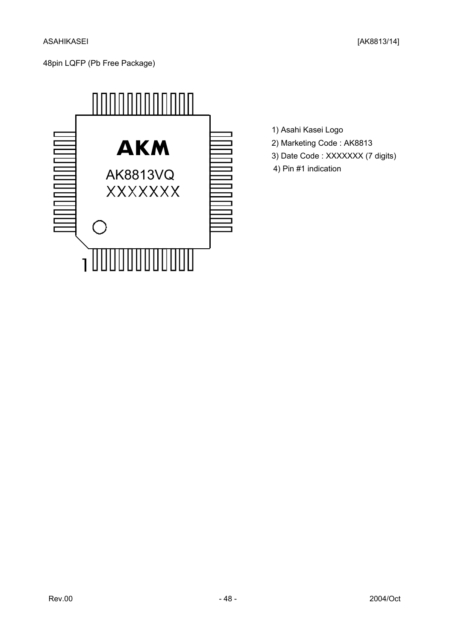

- 1) Asahi Kasei Logo
- 2) Marketing Code : AK8813
- 3) Date Code : XXXXXXX (7 digits)
- 4) Pin #1 indication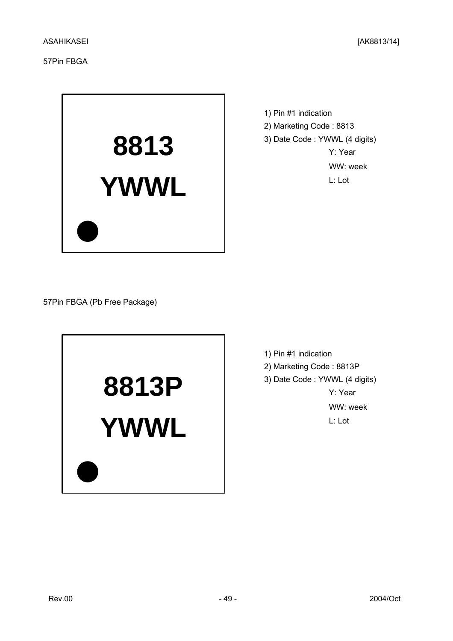57Pin FBGA



1) Pin #1 indication 2) Marketing Code : 8813 3) Date Code : YWWL (4 digits) Y: Year WW: week L: Lot

57Pin FBGA (Pb Free Package)



1) Pin #1 indication 2) Marketing Code : 8813P 3) Date Code : YWWL (4 digits) Y: Year WW: week L: Lot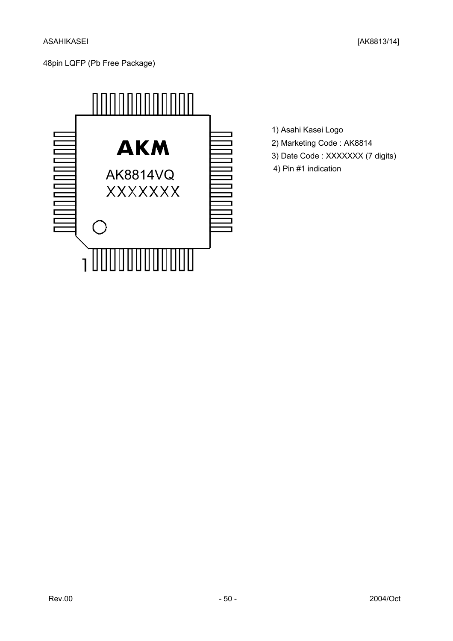

- 1) Asahi Kasei Logo
- 2) Marketing Code : AK8814
- 3) Date Code : XXXXXXX (7 digits)
- 4) Pin #1 indication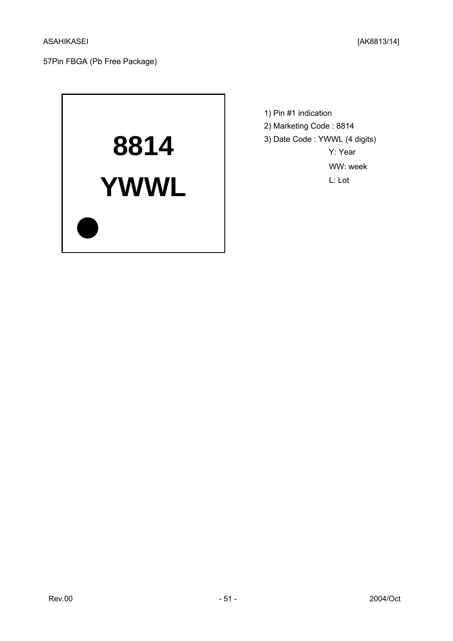

1) Pin #1 indication 2) Marketing Code : 8814 3) Date Code : YWWL (4 digits) Y: Year WW: week L: Lot